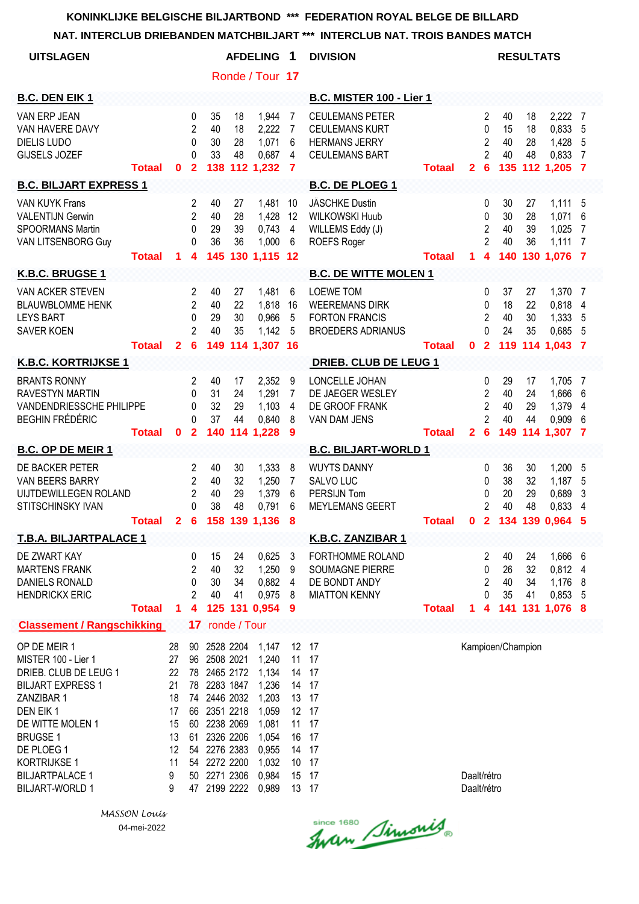#### **NAT. INTERCLUB DRIEBANDEN MATCHBILJART \*\*\* INTERCLUB NAT. TROIS BANDES MATCH**

| <b>UITSLAGEN</b>                                                                                                                                                                                                                            |               |                                                                    |                                                                                  |                                                                                                                                                                                     |                      | <b>AFDELING</b>                                                                                          | 1                                                                                         | <b>DIVISION</b>                                                                                  |               |                            |                                                                       | <b>RESULTATS</b>     |                      |                                                         |                                       |
|---------------------------------------------------------------------------------------------------------------------------------------------------------------------------------------------------------------------------------------------|---------------|--------------------------------------------------------------------|----------------------------------------------------------------------------------|-------------------------------------------------------------------------------------------------------------------------------------------------------------------------------------|----------------------|----------------------------------------------------------------------------------------------------------|-------------------------------------------------------------------------------------------|--------------------------------------------------------------------------------------------------|---------------|----------------------------|-----------------------------------------------------------------------|----------------------|----------------------|---------------------------------------------------------|---------------------------------------|
|                                                                                                                                                                                                                                             |               |                                                                    |                                                                                  |                                                                                                                                                                                     |                      | Ronde / Tour 17                                                                                          |                                                                                           |                                                                                                  |               |                            |                                                                       |                      |                      |                                                         |                                       |
| <b>B.C. DEN EIK 1</b>                                                                                                                                                                                                                       |               |                                                                    |                                                                                  |                                                                                                                                                                                     |                      |                                                                                                          |                                                                                           | <b>B.C. MISTER 100 - Lier 1</b>                                                                  |               |                            |                                                                       |                      |                      |                                                         |                                       |
| <b>VAN ERP JEAN</b><br>VAN HAVERE DAVY<br><b>DIELIS LUDO</b><br><b>GIJSELS JOZEF</b>                                                                                                                                                        | <b>Totaal</b> | 0                                                                  | $\mathbf{0}$<br>$\mathbf{2}$<br>$\Omega$<br>$\Omega$<br>$\mathbf{2}$             | 35<br>40<br>30<br>33                                                                                                                                                                | 18<br>18<br>28<br>48 | 1,944<br>2,222<br>1,071<br>0,687<br>138 112 1,232                                                        | 7<br>7<br>6<br>4<br>7                                                                     | <b>CEULEMANS PETER</b><br><b>CEULEMANS KURT</b><br><b>HERMANS JERRY</b><br><b>CEULEMANS BART</b> | <b>Totaal</b> | $\mathbf{2}$               | 2<br>0<br>2<br>$\overline{2}$<br>6                                    | 40<br>15<br>40<br>40 | 18<br>18<br>28<br>48 | 2,222 7<br>0,833<br>1,428<br>0,833<br>135 112 1,205 7   | -5<br>-5<br>-7                        |
| <b>B.C. BILJART EXPRESS 1</b>                                                                                                                                                                                                               |               |                                                                    |                                                                                  |                                                                                                                                                                                     |                      |                                                                                                          |                                                                                           | <b>B.C. DE PLOEG 1</b>                                                                           |               |                            |                                                                       |                      |                      |                                                         |                                       |
| <b>VAN KUYK Frans</b><br><b>VALENTIJN Gerwin</b><br>SPOORMANS Martin<br>VAN LITSENBORG Guy                                                                                                                                                  | <b>Totaal</b> | 1.                                                                 | $\overline{2}$<br>$\overline{2}$<br>0<br>$\mathbf{0}$<br>4                       | 40<br>40<br>29<br>36                                                                                                                                                                | 27<br>28<br>39<br>36 | 1,481<br>1,428<br>0,743<br>1,000<br>145 130 1,115 12                                                     | 10<br>12<br>4<br>6                                                                        | <b>JÄSCHKE Dustin</b><br><b>WILKOWSKI Huub</b><br>WILLEMS Eddy (J)<br>ROEFS Roger                | <b>Totaal</b> | 1.                         | 0<br>0<br>$\overline{2}$<br>$\overline{2}$<br>$\overline{\mathbf{4}}$ | 30<br>30<br>40<br>40 | 27<br>28<br>39<br>36 | 1,111<br>1,071<br>1,025<br>1,111<br>140 130 1,076       | -5<br>6<br>7<br>7<br>-7               |
| K.B.C. BRUGSE 1                                                                                                                                                                                                                             |               |                                                                    |                                                                                  |                                                                                                                                                                                     |                      |                                                                                                          |                                                                                           | <b>B.C. DE WITTE MOLEN 1</b>                                                                     |               |                            |                                                                       |                      |                      |                                                         |                                       |
| <b>VAN ACKER STEVEN</b><br><b>BLAUWBLOMME HENK</b><br><b>LEYS BART</b><br><b>SAVER KOEN</b>                                                                                                                                                 | <b>Totaal</b> | $\mathbf{2}$                                                       | $\overline{2}$<br>$\overline{2}$<br>$\mathbf{0}$<br>$\mathfrak{p}$<br>6          | 40<br>40<br>29<br>40<br>149                                                                                                                                                         | 27<br>22<br>30<br>35 | 1,481<br>1,818<br>0,966<br>1,142<br>114 1,307 16                                                         | 6<br>16<br>5<br>5                                                                         | <b>LOEWE TOM</b><br><b>WEEREMANS DIRK</b><br><b>FORTON FRANCIS</b><br><b>BROEDERS ADRIANUS</b>   | <b>Totaal</b> | $\mathbf{0}$               | 0<br>0<br>$\overline{2}$<br>0<br>$\mathbf{2}$                         | 37<br>18<br>40<br>24 | 27<br>22<br>30<br>35 | 1,370<br>0,818<br>1,333<br>0,685<br>119 114 1,043       | $\overline{7}$<br>4<br>5<br>-5<br>- 7 |
| <b>K.B.C. KORTRIJKSE 1</b>                                                                                                                                                                                                                  |               |                                                                    |                                                                                  |                                                                                                                                                                                     |                      |                                                                                                          |                                                                                           | <b>DRIEB. CLUB DE LEUG 1</b>                                                                     |               |                            |                                                                       |                      |                      |                                                         |                                       |
| <b>BRANTS RONNY</b><br><b>RAVESTYN MARTIN</b><br>VANDENDRIESSCHE PHILIPPE<br>BEGHIN FRÉDÉRIC                                                                                                                                                | <b>Totaal</b> | $\mathbf{0}$                                                       | 2<br>$\mathbf{0}$<br>0<br>$\Omega$<br>$\overline{2}$                             | 40<br>31<br>32<br>37<br>140                                                                                                                                                         | 17<br>24<br>29<br>44 | 2,352<br>1,291<br>1,103<br>0,840<br>114 1,228                                                            | 9<br>7<br>4<br>8<br>9                                                                     | LONCELLE JOHAN<br>DE JAEGER WESLEY<br>DE GROOF FRANK<br>VAN DAM JENS                             | <b>Totaal</b> | $\mathbf{2}$               | 0<br>2<br>$\mathbf{2}$<br>2<br>$6\phantom{1}6$                        | 29<br>40<br>40<br>40 | 17<br>24<br>29<br>44 | 1,705<br>1,666<br>1,379<br>0,909<br>149 114 1,307       | -7<br>6<br>4<br>6<br>- 7              |
| <b>B.C. OP DE MEIR 1</b>                                                                                                                                                                                                                    |               |                                                                    |                                                                                  |                                                                                                                                                                                     |                      |                                                                                                          |                                                                                           | <b>B.C. BILJART-WORLD 1</b>                                                                      |               |                            |                                                                       |                      |                      |                                                         |                                       |
| DE BACKER PETER<br>VAN BEERS BARRY<br>UIJTDEWILLEGEN ROLAND<br>STITSCHINSKY IVAN                                                                                                                                                            | Totaal 2      |                                                                    | $\overline{2}$<br>$\overline{2}$<br>$\overline{2}$<br>$\Omega$<br>6 <sup>1</sup> | 40<br>40<br>40<br>38                                                                                                                                                                | 30<br>32<br>29<br>48 | 1,333<br>1,250<br>1,379<br>0,791<br>158 139 1,136                                                        | 8<br>7<br>6<br>6<br>8                                                                     | <b>WUYTS DANNY</b><br>SALVO LUC<br>PERSIJN Tom<br><b>MEYLEMANS GEERT</b>                         | <b>Totaal</b> | 0 <sub>2</sub>             | 0<br>0<br>0<br>$\overline{2}$                                         | 36<br>38<br>20<br>40 | 30<br>32<br>29<br>48 | 1,200<br>1,187<br>0,689<br>0,833<br>134 139 0,964       | 5<br>5<br>3<br>4                      |
| <b>T.B.A. BILJARTPALACE 1</b>                                                                                                                                                                                                               |               |                                                                    |                                                                                  |                                                                                                                                                                                     |                      |                                                                                                          |                                                                                           | <b>K.B.C. ZANZIBAR 1</b>                                                                         |               |                            |                                                                       |                      |                      |                                                         |                                       |
| DE ZWART KAY<br><b>MARTENS FRANK</b><br><b>DANIELS RONALD</b><br><b>HENDRICKX ERIC</b>                                                                                                                                                      | <b>Totaal</b> | 1                                                                  | 0<br>2<br>0<br>$\overline{2}$<br>4                                               | 15<br>40<br>30<br>40                                                                                                                                                                | 24<br>32<br>34<br>41 | 0,625<br>1,250<br>0,882<br>0,975<br>125 131 0,954                                                        | 3<br>9<br>$\overline{4}$<br>8<br>-9                                                       | FORTHOMME ROLAND<br><b>SOUMAGNE PIERRE</b><br>DE BONDT ANDY<br><b>MIATTON KENNY</b>              | <b>Totaal</b> | 1                          | 2<br>0<br>$\overline{c}$<br>$\Omega$<br>$\overline{\mathbf{4}}$       | 40<br>26<br>40<br>35 | 24<br>32<br>34<br>41 | 1,666 6<br>0,812 4<br>1,176<br>0,853<br>141 131 1,076 8 | 8<br>-5                               |
| <b>Classement / Rangschikking</b>                                                                                                                                                                                                           |               |                                                                    | 17                                                                               |                                                                                                                                                                                     | ronde / Tour         |                                                                                                          |                                                                                           |                                                                                                  |               |                            |                                                                       |                      |                      |                                                         |                                       |
| OP DE MEIR 1<br>MISTER 100 - Lier 1<br>DRIEB. CLUB DE LEUG 1<br><b>BILJART EXPRESS 1</b><br>ZANZIBAR 1<br>DEN EIK1<br>DE WITTE MOLEN 1<br><b>BRUGSE 1</b><br>DE PLOEG 1<br>KORTRIJKSE 1<br><b>BILJARTPALACE 1</b><br><b>BILJART-WORLD 1</b> |               | 28<br>27<br>22<br>21<br>18<br>17<br>15<br>13<br>12<br>11<br>9<br>9 | 90<br>61<br>50                                                                   | 2528 2204<br>96 2508 2021<br>78 2465 2172<br>78 2283 1847<br>74 2446 2032<br>66 2351 2218<br>60 2238 2069<br>2326 2206<br>54 2276 2383<br>54 2272 2200<br>2271 2306<br>47 2199 2222 |                      | 1,147<br>1,240<br>1,134<br>1,236<br>1,203<br>1,059<br>1,081<br>1,054<br>0,955<br>1,032<br>0,984<br>0,989 | 12 17<br>11<br>14 17<br>14 17<br>13 17<br>12 17<br>11<br>16<br>14 17<br>10<br>15<br>13 17 | 17<br>17<br>17<br>17<br>17                                                                       |               | Daalt/rétro<br>Daalt/rétro |                                                                       | Kampioen/Champion    |                      |                                                         |                                       |

*MASSON Louis* 04-mei-2022

Since 1680 Simonis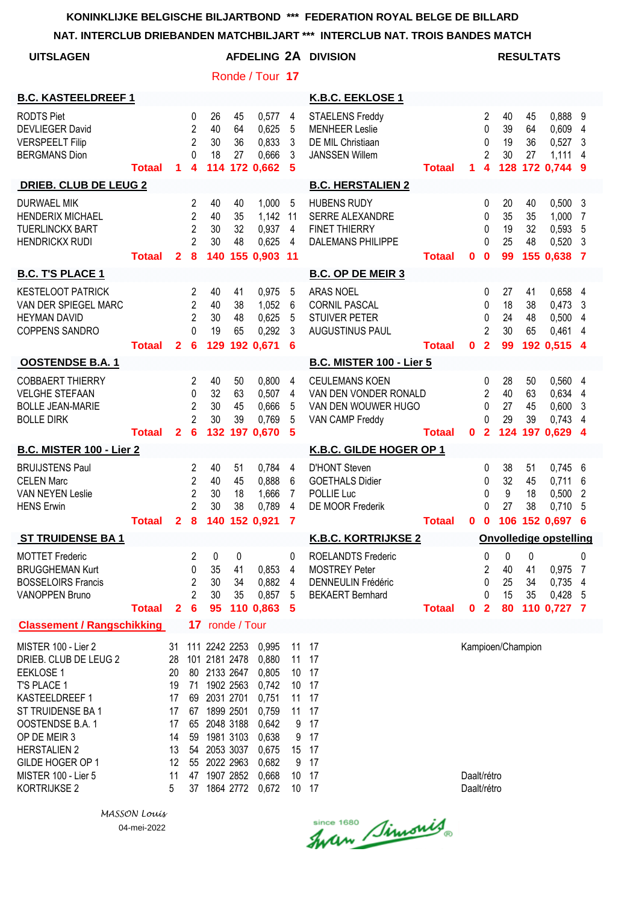**NAT. INTERCLUB DRIEBANDEN MATCHBILJART \*\*\* INTERCLUB NAT. TROIS BANDES MATCH**

|                                                                                                                                                                                                                                              |               |                                                                     |                                                                      |                                                                                                                                                                |                        |                                                                                                          |                                                                                           | NAT. INTERCLUB DRIEBANDEN MATCHBILJART ***  INTERCLUB NAT. TROIS BANDES MATCH                             |               |                            |                                                          |                             |                             |                                                             |                           |
|----------------------------------------------------------------------------------------------------------------------------------------------------------------------------------------------------------------------------------------------|---------------|---------------------------------------------------------------------|----------------------------------------------------------------------|----------------------------------------------------------------------------------------------------------------------------------------------------------------|------------------------|----------------------------------------------------------------------------------------------------------|-------------------------------------------------------------------------------------------|-----------------------------------------------------------------------------------------------------------|---------------|----------------------------|----------------------------------------------------------|-----------------------------|-----------------------------|-------------------------------------------------------------|---------------------------|
| <b>UITSLAGEN</b>                                                                                                                                                                                                                             |               |                                                                     |                                                                      |                                                                                                                                                                |                        |                                                                                                          |                                                                                           | AFDELING 2A DIVISION                                                                                      |               |                            |                                                          | <b>RESULTATS</b>            |                             |                                                             |                           |
|                                                                                                                                                                                                                                              |               |                                                                     |                                                                      |                                                                                                                                                                |                        | Ronde / Tour 17                                                                                          |                                                                                           |                                                                                                           |               |                            |                                                          |                             |                             |                                                             |                           |
| <b>B.C. KASTEELDREEF 1</b>                                                                                                                                                                                                                   |               |                                                                     |                                                                      |                                                                                                                                                                |                        |                                                                                                          |                                                                                           | K.B.C. EEKLOSE 1                                                                                          |               |                            |                                                          |                             |                             |                                                             |                           |
| <b>RODTS Piet</b><br><b>DEVLIEGER David</b><br><b>VERSPEELT Filip</b><br><b>BERGMANS Dion</b>                                                                                                                                                | <b>Totaal</b> | 1.                                                                  | $\mathbf 0$<br>$\overline{2}$<br>$\overline{2}$<br>$\Omega$<br>4     | 26<br>40<br>30<br>18<br>114                                                                                                                                    | 45<br>64<br>36<br>27   | 0,577<br>0,625<br>0,833<br>0,666<br>172 0,662                                                            | 4<br>5<br>$\mathbf{3}$<br>3<br>- 5                                                        | <b>STAELENS Freddy</b><br><b>MENHEER Leslie</b><br>DE MIL Christiaan<br><b>JANSSEN Willem</b>             | <b>Totaal</b> | 1                          | 2<br>0<br>0<br>$\overline{2}$<br>$\overline{\mathbf{4}}$ | 40<br>39<br>19<br>30        | 45<br>64<br>36<br>27        | 0,888 9<br>0,609 4<br>0,527<br>1,111<br>128 172 0.744 9     | $\mathbf{3}$<br>4         |
| <b>DRIEB. CLUB DE LEUG 2</b>                                                                                                                                                                                                                 |               |                                                                     |                                                                      |                                                                                                                                                                |                        |                                                                                                          |                                                                                           | <b>B.C. HERSTALIEN 2</b>                                                                                  |               |                            |                                                          |                             |                             |                                                             |                           |
| <b>DURWAEL MIK</b><br><b>HENDERIX MICHAEL</b><br><b>TUERLINCKX BART</b><br><b>HENDRICKX RUDI</b>                                                                                                                                             | <b>Totaal</b> | $\mathbf{2}$                                                        | 2<br>$\overline{2}$<br>$\overline{2}$<br>$\overline{2}$<br>8         | 40<br>40<br>30<br>30<br>140                                                                                                                                    | 40<br>35<br>32<br>48   | 1,000<br>1,142<br>0,937<br>0,625<br>155 0.903 11                                                         | 5<br>11<br>$\overline{4}$<br>4                                                            | <b>HUBENS RUDY</b><br>SERRE ALEXANDRE<br><b>FINET THIERRY</b><br><b>DALEMANS PHILIPPE</b>                 | <b>Totaal</b> | 0                          | 0<br>0<br>0<br>0<br>$\mathbf 0$                          | 20<br>35<br>19<br>25<br>99  | 40<br>35<br>32<br>48        | $0,500$ 3<br>1,000<br>0,593,5<br>$0,520$ 3<br>155 0.638 7   | $\overline{7}$            |
| <b>B.C. T'S PLACE 1</b>                                                                                                                                                                                                                      |               |                                                                     |                                                                      |                                                                                                                                                                |                        |                                                                                                          |                                                                                           | <b>B.C. OP DE MEIR 3</b>                                                                                  |               |                            |                                                          |                             |                             |                                                             |                           |
| <b>KESTELOOT PATRICK</b><br>VAN DER SPIEGEL MARC<br><b>HEYMAN DAVID</b><br><b>COPPENS SANDRO</b>                                                                                                                                             | <b>Totaal</b> | $\mathbf{2}$                                                        | 2<br>$\overline{2}$<br>$\overline{2}$<br>$\Omega$<br>$6\phantom{1}6$ | 40<br>40<br>30<br>19<br>129                                                                                                                                    | 41<br>38<br>48<br>65   | 0,975<br>1,052<br>0,625<br>0,292<br>192 0,671                                                            | 5<br>6<br>5<br>3<br>6                                                                     | <b>ARAS NOEL</b><br><b>CORNIL PASCAL</b><br><b>STUIVER PETER</b><br>AUGUSTINUS PAUL                       | <b>Totaal</b> | $\mathbf 0$                | 0<br>0<br>0<br>$\overline{2}$<br>$\overline{2}$          | 27<br>18<br>24<br>30<br>99  | 41<br>38<br>48<br>65        | 0,658 4<br>$0,473$ 3<br>$0,500$ 4<br>0,461 4<br>192 0,515 4 |                           |
| <b>OOSTENDSE B.A.1</b>                                                                                                                                                                                                                       |               |                                                                     |                                                                      |                                                                                                                                                                |                        |                                                                                                          |                                                                                           | <b>B.C. MISTER 100 - Lier 5</b>                                                                           |               |                            |                                                          |                             |                             |                                                             |                           |
| <b>COBBAERT THIERRY</b><br><b>VELGHE STEFAAN</b><br><b>BOLLE JEAN-MARIE</b><br><b>BOLLE DIRK</b>                                                                                                                                             | <b>Totaal</b> | $\mathbf{2}$                                                        | 2<br>0<br>$\overline{2}$<br>$\overline{2}$<br>$6\phantom{1}6$        | 40<br>32<br>30<br>30<br>132                                                                                                                                    | 50<br>63<br>45<br>39   | 0,800<br>0,507<br>0,666<br>0,769<br>197 0,670                                                            | 4<br>$\overline{4}$<br>5<br>5<br>5                                                        | <b>CEULEMANS KOEN</b><br>VAN DEN VONDER RONALD<br>VAN DEN WOUWER HUGO<br>VAN CAMP Freddy                  | <b>Totaal</b> | $\mathbf{0}$               | 0<br>$\overline{2}$<br>0<br>0<br>$\overline{2}$          | 28<br>40<br>27<br>29<br>124 | 50<br>63<br>45<br>39<br>197 | 0,560 4<br>0,634 4<br>0,600<br>$0,743$ 4<br>0,629           | $\mathbf{3}$<br>-4        |
| <b>B.C. MISTER 100 - Lier 2</b>                                                                                                                                                                                                              |               |                                                                     |                                                                      |                                                                                                                                                                |                        |                                                                                                          |                                                                                           | K.B.C. GILDE HOGER OP 1                                                                                   |               |                            |                                                          |                             |                             |                                                             |                           |
| <b>BRUIJSTENS Paul</b><br><b>CELEN Marc</b><br>VAN NEYEN Leslie<br><b>HENS Erwin</b>                                                                                                                                                         | <b>Totaal</b> |                                                                     | 2<br>$\overline{2}$<br>$\overline{2}$<br>$\overline{2}$              | 40<br>40<br>30<br>30                                                                                                                                           | 51<br>45<br>18<br>38   | 0,784<br>0,888<br>1,666<br>0,789<br>2 8 140 152 0,921 7                                                  | 4<br>6<br>$\overline{7}$<br>4                                                             | <b>D'HONT Steven</b><br><b>GOETHALS Didier</b><br>POLLIE Luc<br>DE MOOR Frederik                          | <b>Totaal</b> |                            | 0<br>0<br>0<br>0<br>0 <sub>0</sub>                       | 38<br>32<br>9<br>27         | 51<br>45<br>18<br>38        | $0,745$ 6<br>0,711<br>0,500<br>0,710<br>106 152 0,697 6     | 6<br>$\overline{2}$<br>5  |
| <b>ST TRUIDENSE BA1</b>                                                                                                                                                                                                                      |               |                                                                     |                                                                      |                                                                                                                                                                |                        |                                                                                                          |                                                                                           | <b>K.B.C. KORTRIJKSE 2</b>                                                                                |               |                            |                                                          |                             |                             | <b>Onvolledige opstelling</b>                               |                           |
| <b>MOTTET Frederic</b><br><b>BRUGGHEMAN Kurt</b><br><b>BOSSELOIRS Francis</b><br>VANOPPEN Bruno                                                                                                                                              | <b>Totaal</b> | $\mathbf{2}$                                                        | 2<br>0<br>2<br>$\overline{2}$<br>$6\phantom{1}6$                     | 0<br>35<br>30<br>30<br>95                                                                                                                                      | 0<br>41<br>34<br>35    | 0,853<br>0,882<br>0,857<br>110 0,863                                                                     | 0<br>4<br>4<br>5<br>-5                                                                    | <b>ROELANDTS Frederic</b><br><b>MOSTREY Peter</b><br><b>DENNEULIN Frédéric</b><br><b>BEKAERT Bernhard</b> | <b>Totaal</b> | $\mathbf{0}$               | 0<br>2<br>0<br>0<br>$\overline{\mathbf{2}}$              | 0<br>40<br>25<br>15<br>80   | 0<br>41<br>34<br>35         | 0,975<br>0,735<br>0,428 5<br>110 0,727 7                    | 0<br>$\overline{7}$<br>-4 |
| <b>Classement / Rangschikking</b>                                                                                                                                                                                                            |               |                                                                     | 17 <sub>2</sub>                                                      |                                                                                                                                                                | ronde / Tour           |                                                                                                          |                                                                                           |                                                                                                           |               |                            |                                                          |                             |                             |                                                             |                           |
| MISTER 100 - Lier 2<br>DRIEB. CLUB DE LEUG 2<br><b>EEKLOSE 1</b><br>T'S PLACE 1<br>KASTEELDREEF 1<br>ST TRUIDENSE BA 1<br>OOSTENDSE B.A. 1<br>OP DE MEIR 3<br><b>HERSTALIEN 2</b><br>GILDE HOGER OP 1<br>MISTER 100 - Lier 5<br>KORTRIJKSE 2 |               | 31<br>28<br>20<br>19<br>17<br>17<br>17<br>14<br>13<br>12<br>11<br>5 | 59<br>47                                                             | 111 2242 2253<br>101 2181 2478<br>80 2133 2647<br>71 1902 2563<br>69 2031 2701<br>67 1899 2501<br>65 2048 3188<br>54 2053 3037<br>55 2022 2963<br>37 1864 2772 | 1981 3103<br>1907 2852 | 0,995<br>0,880<br>0,805<br>0,742<br>0,751<br>0,759<br>0,642<br>0,638<br>0,675<br>0,682<br>0,668<br>0,672 | 11 17<br>11 17<br>10 17<br>10 17<br>11 17<br>11<br>9<br>9<br>15 17<br>9<br>10 17<br>10 17 | 17<br>17<br>17<br>17                                                                                      |               | Daalt/rétro<br>Daalt/rétro |                                                          | Kampioen/Champion           |                             |                                                             |                           |

*MASSON Louis* 04-mei-2022

since 1680 Simonis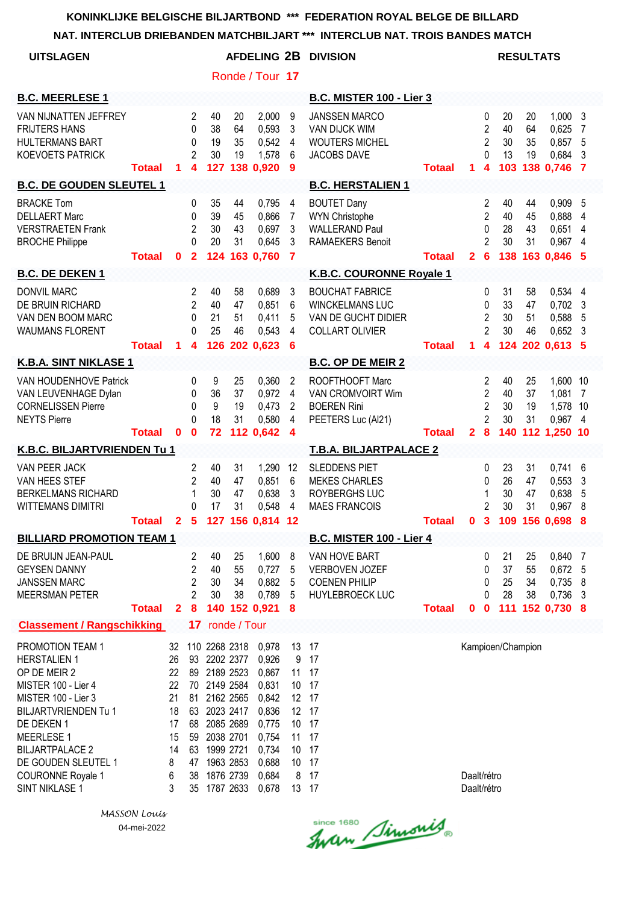|                                                                                                                                                                                                                                                                               |               |                                                                   |                                                                       |                                                                                                                                                                 |                      |                                                                                                          |                                                                         | NAT. INTERCLUB DRIEBANDEN MATCHBILJART *** INTERCLUB NAT. TROIS BANDES MATCH                      |               |                            |                                                                        |                               |                      |                                                                 |                        |
|-------------------------------------------------------------------------------------------------------------------------------------------------------------------------------------------------------------------------------------------------------------------------------|---------------|-------------------------------------------------------------------|-----------------------------------------------------------------------|-----------------------------------------------------------------------------------------------------------------------------------------------------------------|----------------------|----------------------------------------------------------------------------------------------------------|-------------------------------------------------------------------------|---------------------------------------------------------------------------------------------------|---------------|----------------------------|------------------------------------------------------------------------|-------------------------------|----------------------|-----------------------------------------------------------------|------------------------|
| <b>UITSLAGEN</b>                                                                                                                                                                                                                                                              |               |                                                                   |                                                                       |                                                                                                                                                                 |                      |                                                                                                          |                                                                         | AFDELING 2B DIVISION                                                                              |               |                            |                                                                        | <b>RESULTATS</b>              |                      |                                                                 |                        |
|                                                                                                                                                                                                                                                                               |               |                                                                   |                                                                       |                                                                                                                                                                 |                      | Ronde / Tour 17                                                                                          |                                                                         |                                                                                                   |               |                            |                                                                        |                               |                      |                                                                 |                        |
| <b>B.C. MEERLESE 1</b>                                                                                                                                                                                                                                                        |               |                                                                   |                                                                       |                                                                                                                                                                 |                      |                                                                                                          |                                                                         | <b>B.C. MISTER 100 - Lier 3</b>                                                                   |               |                            |                                                                        |                               |                      |                                                                 |                        |
| VAN NIJNATTEN JEFFREY<br><b>FRIJTERS HANS</b><br><b>HULTERMANS BART</b><br><b>KOEVOETS PATRICK</b>                                                                                                                                                                            | <b>Totaal</b> | 1.                                                                | 2<br>0<br>0<br>2<br>$\overline{\mathbf{4}}$                           | 40<br>38<br>19<br>30                                                                                                                                            | 20<br>64<br>35<br>19 | 2,000<br>0,593<br>0,542<br>1,578<br>127 138 0,920                                                        | 9<br>3<br>$\overline{4}$<br>6<br>9                                      | <b>JANSSEN MARCO</b><br><b>VAN DIJCK WIM</b><br><b>WOUTERS MICHEL</b><br>JACOBS DAVE              | <b>Totaal</b> | 1.                         | 0<br>2<br>2<br>0<br>4                                                  | 20<br>40<br>30<br>13          | 20<br>64<br>35<br>19 | 1,0003<br>0,625<br>0,857 5<br>0,684 3<br>103 138 0,746 7        | $\overline{7}$         |
| <b>B.C. DE GOUDEN SLEUTEL 1</b>                                                                                                                                                                                                                                               |               |                                                                   |                                                                       |                                                                                                                                                                 |                      |                                                                                                          |                                                                         | <b>B.C. HERSTALIEN 1</b>                                                                          |               |                            |                                                                        |                               |                      |                                                                 |                        |
| <b>BRACKE Tom</b><br><b>DELLAERT Marc</b><br><b>VERSTRAETEN Frank</b><br><b>BROCHE Philippe</b>                                                                                                                                                                               | <b>Totaal</b> | $\mathbf{0}$                                                      | 0<br>0<br>$\overline{2}$<br>0<br>$\overline{2}$                       | 35<br>39<br>30<br>20                                                                                                                                            | 44<br>45<br>43<br>31 | 0,795<br>0,866<br>0,697<br>0,645<br>124 163 0.760                                                        | $\overline{4}$<br>$\overline{7}$<br>$\mathbf{3}$<br>3<br>$\overline{7}$ | <b>BOUTET Dany</b><br><b>WYN Christophe</b><br><b>WALLERAND Paul</b><br><b>RAMAEKERS Benoit</b>   | <b>Totaal</b> | 2 <sup>1</sup>             | $\overline{\mathbf{c}}$<br>$\overline{2}$<br>0<br>2<br>$6\phantom{1}6$ | 40<br>40<br>28<br>30          | 44<br>45<br>43<br>31 | 0,909<br>0,888<br>0,651<br>0,967 4<br>138 163 0,846 5           | - 5<br>4<br>4          |
| <b>B.C. DE DEKEN 1</b>                                                                                                                                                                                                                                                        |               |                                                                   |                                                                       |                                                                                                                                                                 |                      |                                                                                                          |                                                                         | K.B.C. COURONNE Royale 1                                                                          |               |                            |                                                                        |                               |                      |                                                                 |                        |
| <b>DONVIL MARC</b><br>DE BRUIN RICHARD<br>VAN DEN BOOM MARC<br><b>WAUMANS FLORENT</b>                                                                                                                                                                                         | <b>Totaal</b> | 1.                                                                | $\overline{c}$<br>$\overline{2}$<br>0<br>0<br>$\overline{\mathbf{4}}$ | 40<br>40<br>21<br>25                                                                                                                                            | 58<br>47<br>51<br>46 | 0,689<br>0,851<br>0,411<br>0,543<br>126 202 0,623                                                        | $\mathbf{3}$<br>6<br>5<br>4<br>6                                        | <b>BOUCHAT FABRICE</b><br><b>WINCKELMANS LUC</b><br>VAN DE GUCHT DIDIER<br><b>COLLART OLIVIER</b> | <b>Totaal</b> | 1                          | 0<br>0<br>$\overline{2}$<br>$\overline{2}$<br>$\overline{\mathbf{4}}$  | 31<br>33<br>30<br>30          | 58<br>47<br>51<br>46 | 0,534 4<br>$0,702$ 3<br>0,588 5<br>$0,652$ 3<br>124 202 0,613 5 |                        |
| <b>K.B.A. SINT NIKLASE 1</b>                                                                                                                                                                                                                                                  |               |                                                                   |                                                                       |                                                                                                                                                                 |                      |                                                                                                          |                                                                         | <b>B.C. OP DE MEIR 2</b>                                                                          |               |                            |                                                                        |                               |                      |                                                                 |                        |
| VAN HOUDENHOVE Patrick<br>VAN LEUVENHAGE Dylan<br><b>CORNELISSEN Pierre</b><br><b>NEYTS Pierre</b>                                                                                                                                                                            | <b>Totaal</b> | $\mathbf{0}$                                                      | 0<br>0<br>$\mathbf{0}$<br>$\Omega$<br>$\mathbf 0$                     | 9<br>36<br>9<br>18<br>72                                                                                                                                        | 25<br>37<br>19<br>31 | 0,360<br>0,972<br>0,473<br>0,580<br>112 0,642                                                            | 2<br>4<br>2<br>4<br>$\overline{\mathbf{4}}$                             | ROOFTHOOFT Marc<br>VAN CROMVOIRT Wim<br><b>BOEREN Rini</b><br>PEETERS Luc (Al21)                  | <b>Totaal</b> | 28                         | 2<br>$\overline{2}$<br>$\overline{2}$<br>$\overline{2}$                | 40<br>40<br>30<br>30<br>140   | 25<br>37<br>19<br>31 | 1,600 10<br>1,081 7<br>1,578 10<br>0,967 4<br>112 1,250 10      |                        |
| K.B.C. BILJARTVRIENDEN Tu 1                                                                                                                                                                                                                                                   |               |                                                                   |                                                                       |                                                                                                                                                                 |                      |                                                                                                          |                                                                         | <b>T.B.A. BILJARTPALACE 2</b>                                                                     |               |                            |                                                                        |                               |                      |                                                                 |                        |
| VAN PEER JACK<br>VAN HEES STEF<br><b>BERKELMANS RICHARD</b><br>WITTEMANS DIMITRI                                                                                                                                                                                              | <b>Totaal</b> |                                                                   | $\overline{c}$<br>$\overline{2}$<br>1<br>0                            | 40<br>40<br>30<br>17                                                                                                                                            | 31<br>47<br>47<br>31 | 1,290<br>0,851<br>0,638<br>0,548<br>2 5 127 156 0,814 12                                                 | 12<br>6<br>3<br>4                                                       | <b>SLEDDENS PIET</b><br><b>MEKES CHARLES</b><br>ROYBERGHS LUC<br><b>MAES FRANCOIS</b>             | <b>Totaal</b> | 0                          | 0<br>0<br>$\overline{2}$<br>3                                          | 23<br>26<br>30<br>30          | 31<br>47<br>47<br>31 | $0,741$ 6<br>0,553<br>0,638<br>0,967<br>109 156 0,698 8         | $\mathbf{3}$<br>5<br>8 |
| <b>BILLIARD PROMOTION TEAM 1</b>                                                                                                                                                                                                                                              |               |                                                                   |                                                                       |                                                                                                                                                                 |                      |                                                                                                          |                                                                         | <b>B.C. MISTER 100 - Lier 4</b>                                                                   |               |                            |                                                                        |                               |                      |                                                                 |                        |
| DE BRUIJN JEAN-PAUL<br><b>GEYSEN DANNY</b><br><b>JANSSEN MARC</b><br><b>MEERSMAN PETER</b>                                                                                                                                                                                    | <b>Totaal</b> | $\mathbf{2}$                                                      | 2<br>$\overline{c}$<br>$\overline{c}$<br>$\overline{2}$<br>8          | 40<br>40<br>30<br>30                                                                                                                                            | 25<br>55<br>34<br>38 | 1,600<br>0,727<br>0,882<br>0,789<br>140 152 0,921                                                        | 8<br>5<br>5<br>5<br>8                                                   | VAN HOVE BART<br><b>VERBOVEN JOZEF</b><br><b>COENEN PHILIP</b><br><b>HUYLEBROECK LUC</b>          | <b>Totaal</b> | $\mathbf{0}$               | 0<br>0<br>0<br>0<br>$\mathbf 0$                                        | 21<br>37<br>25<br>28<br>$111$ | 25<br>55<br>34<br>38 | 0,840 7<br>0,672 5<br>0,735<br>0,736<br>152 0,730 8             | 8<br>$\mathbf{3}$      |
| <b>Classement / Rangschikking</b>                                                                                                                                                                                                                                             |               |                                                                   | 17                                                                    |                                                                                                                                                                 | ronde / Tour         |                                                                                                          |                                                                         |                                                                                                   |               |                            |                                                                        |                               |                      |                                                                 |                        |
| PROMOTION TEAM 1<br><b>HERSTALIEN 1</b><br>OP DE MEIR 2<br>MISTER 100 - Lier 4<br>MISTER 100 - Lier 3<br><b>BILJARTVRIENDEN Tu 1</b><br>DE DEKEN 1<br><b>MEERLESE 1</b><br><b>BILJARTPALACE 2</b><br>DE GOUDEN SLEUTEL 1<br><b>COURONNE Royale 1</b><br><b>SINT NIKLASE 1</b> |               | 32<br>26<br>22<br>22<br>21<br>18<br>17<br>15<br>14<br>8<br>6<br>3 | 93<br>89<br>81<br>63<br>68<br>59<br>63<br>47<br>38<br>35              | 110 2268 2318<br>2202 2377<br>2189 2523<br>70 2149 2584<br>2162 2565<br>2023 2417<br>2085 2689<br>2038 2701<br>1999 2721<br>1963 2853<br>1876 2739<br>1787 2633 |                      | 0,978<br>0,926<br>0,867<br>0,831<br>0,842<br>0,836<br>0,775<br>0,754<br>0,734<br>0,688<br>0,684<br>0,678 | 13<br>9<br>11<br>10<br>12 17<br>11<br>10 <sup>°</sup><br>8              | 17<br>17<br>17<br>17<br>12 17<br>10 17<br>17<br>10 17<br>17<br>17<br>13 17                        |               | Daalt/rétro<br>Daalt/rétro |                                                                        | Kampioen/Champion             |                      |                                                                 |                        |

*MASSON Louis* 04-mei-2022

Since 1680 Simonis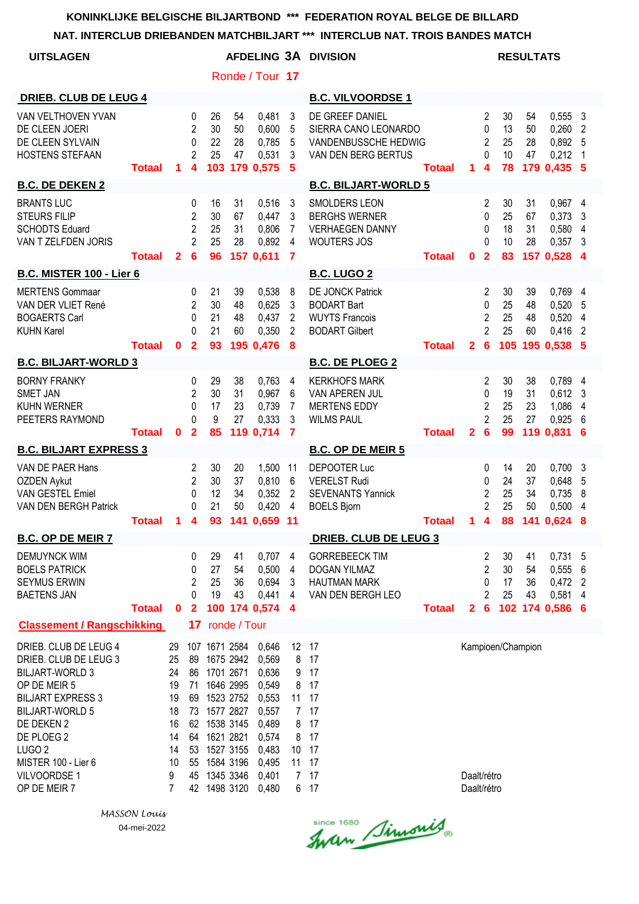|                                                                                                                                                                                                                                                        |               |                                                                    |                                                                        |                                                                                                                                                                                               |                      |                                                                                                          |                                                            | NAT. INTERCLUB DRIEBANDEN MATCHBILJART *** INTERCLUB NAT. TROIS BANDES MATCH                    |               |                            |                                                                              |                            |                      |                                                                 |              |
|--------------------------------------------------------------------------------------------------------------------------------------------------------------------------------------------------------------------------------------------------------|---------------|--------------------------------------------------------------------|------------------------------------------------------------------------|-----------------------------------------------------------------------------------------------------------------------------------------------------------------------------------------------|----------------------|----------------------------------------------------------------------------------------------------------|------------------------------------------------------------|-------------------------------------------------------------------------------------------------|---------------|----------------------------|------------------------------------------------------------------------------|----------------------------|----------------------|-----------------------------------------------------------------|--------------|
| <b>UITSLAGEN</b>                                                                                                                                                                                                                                       |               |                                                                    |                                                                        |                                                                                                                                                                                               |                      |                                                                                                          |                                                            | AFDELING 3A DIVISION                                                                            |               |                            |                                                                              |                            | <b>RESULTATS</b>     |                                                                 |              |
|                                                                                                                                                                                                                                                        |               |                                                                    |                                                                        |                                                                                                                                                                                               |                      | Ronde / Tour 17                                                                                          |                                                            |                                                                                                 |               |                            |                                                                              |                            |                      |                                                                 |              |
| <b>DRIEB. CLUB DE LEUG 4</b>                                                                                                                                                                                                                           |               |                                                                    |                                                                        |                                                                                                                                                                                               |                      |                                                                                                          |                                                            | <b>B.C. VILVOORDSE 1</b>                                                                        |               |                            |                                                                              |                            |                      |                                                                 |              |
| VAN VELTHOVEN YVAN<br>DE CLEEN JOERI<br>DE CLEEN SYLVAIN<br><b>HOSTENS STEFAAN</b>                                                                                                                                                                     | <b>Totaal</b> | 1                                                                  | $\mathbf 0$<br>2<br>0<br>$\overline{2}$<br>$\overline{\mathbf{4}}$     | 26<br>30<br>22<br>25                                                                                                                                                                          | 54<br>50<br>28<br>47 | 0,481<br>0,600<br>0,785<br>0,531<br>103 179 0.575                                                        | 3<br>5<br>5<br>3<br>-5                                     | DE GREEF DANIEL<br>SIERRA CANO LEONARDO<br>VANDENBUSSCHE HEDWIG<br>VAN DEN BERG BERTUS          | <b>Totaal</b> | $\mathbf 1$                | 2<br>0<br>$\overline{2}$<br>$\Omega$<br>$\overline{\mathbf{4}}$              | 30<br>13<br>25<br>10<br>78 | 54<br>50<br>28<br>47 | 0,5553<br>0,260<br>0,892<br>0,212<br>179 0,435 5                | 2<br>-5<br>1 |
| <b>B.C. DE DEKEN 2</b>                                                                                                                                                                                                                                 |               |                                                                    |                                                                        |                                                                                                                                                                                               |                      |                                                                                                          |                                                            | <b>B.C. BILJART-WORLD 5</b>                                                                     |               |                            |                                                                              |                            |                      |                                                                 |              |
| <b>BRANTS LUC</b><br><b>STEURS FILIP</b><br><b>SCHODTS Eduard</b><br>VAN T ZELFDEN JORIS                                                                                                                                                               | <b>Totaal</b> |                                                                    | 0<br>$\overline{2}$<br>$\overline{2}$<br>$\overline{2}$<br>$2 \quad 6$ | 16<br>30<br>25<br>25<br>96                                                                                                                                                                    | 31<br>67<br>31<br>28 | 0,516<br>0,447<br>0,806<br>0,892<br>157 0,611                                                            | $\mathbf{3}$<br>3<br>$\overline{7}$<br>4<br>$\overline{7}$ | <b>SMOLDERS LEON</b><br><b>BERGHS WERNER</b><br><b>VERHAEGEN DANNY</b><br><b>WOUTERS JOS</b>    | <b>Totaal</b> | $\mathbf{0}$               | $\overline{2}$<br>$\mathbf{0}$<br>$\mathbf{0}$<br>$\Omega$<br>$\overline{2}$ | 30<br>25<br>18<br>10<br>83 | 31<br>67<br>31<br>28 | 0,967 4<br>$0,373$ 3<br>0,580 4<br>$0,357$ 3<br>157 0,528 4     |              |
| <b>B.C. MISTER 100 - Lier 6</b>                                                                                                                                                                                                                        |               |                                                                    |                                                                        |                                                                                                                                                                                               |                      |                                                                                                          |                                                            | <b>B.C. LUGO 2</b>                                                                              |               |                            |                                                                              |                            |                      |                                                                 |              |
| <b>MERTENS Gommaar</b><br>VAN DER VLIET René<br><b>BOGAERTS Carl</b><br><b>KUHN Karel</b>                                                                                                                                                              | <b>Totaal</b> | $\mathbf{0}$                                                       | 0<br>$\mathbf{2}$<br>0<br>$\Omega$<br>$\overline{2}$                   | 21<br>30<br>21<br>21<br>93                                                                                                                                                                    | 39<br>48<br>48<br>60 | 0,538<br>0,625<br>0,437<br>0,350<br>195 0,476 8                                                          | 8<br>3<br>$\overline{2}$<br>2                              | <b>DE JONCK Patrick</b><br><b>BODART Bart</b><br><b>WUYTS Francois</b><br><b>BODART Gilbert</b> | <b>Totaal</b> | 2 <sup>1</sup>             | 2<br>$\mathbf{0}$<br>2<br>$\overline{2}$<br>$6\phantom{1}6$                  | 30<br>25<br>25<br>25       | 39<br>48<br>48<br>60 | 0,769 4<br>0.520 5<br>$0,520$ 4<br>$0,416$ 2<br>105 195 0,538 5 |              |
| <b>B.C. BILJART-WORLD 3</b>                                                                                                                                                                                                                            |               |                                                                    |                                                                        |                                                                                                                                                                                               |                      |                                                                                                          |                                                            | <b>B.C. DE PLOEG 2</b>                                                                          |               |                            |                                                                              |                            |                      |                                                                 |              |
| <b>BORNY FRANKY</b><br><b>SMET JAN</b><br><b>KUHN WERNER</b><br>PEETERS RAYMOND                                                                                                                                                                        | <b>Totaal</b> | $\mathbf 0$                                                        | 0<br>2<br>0<br>0<br>$\overline{2}$                                     | 29<br>30<br>17<br>9<br>85                                                                                                                                                                     | 38<br>31<br>23<br>27 | 0,763<br>0,967<br>0,739<br>0,333<br>119 0,714                                                            | 4<br>6<br>7<br>3<br>$\overline{7}$                         | <b>KERKHOFS MARK</b><br>VAN APEREN JUL<br><b>MERTENS EDDY</b><br><b>WILMS PAUL</b>              | <b>Totaal</b> | $\overline{2}$             | 2<br>0<br>$\overline{2}$<br>$\overline{2}$<br>$6\phantom{a}$                 | 30<br>19<br>25<br>25<br>99 | 38<br>31<br>23<br>27 | 0,789 4<br>$0,612$ 3<br>1,086<br>0,925<br>119 0,831             | 4<br>6<br>6  |
| <b>B.C. BILJART EXPRESS 3</b>                                                                                                                                                                                                                          |               |                                                                    |                                                                        |                                                                                                                                                                                               |                      |                                                                                                          |                                                            | <b>B.C. OP DE MEIR 5</b>                                                                        |               |                            |                                                                              |                            |                      |                                                                 |              |
| VAN DE PAER Hans<br><b>OZDEN Aykut</b><br>VAN GESTEL Emiel<br>VAN DEN BERGH Patrick                                                                                                                                                                    | <b>Totaal</b> | 1                                                                  | $\overline{2}$<br>$\overline{2}$<br>0<br>0<br>$\overline{\mathbf{4}}$  | 30<br>30<br>12<br>21                                                                                                                                                                          | 20<br>37<br>34<br>50 | 1,500<br>0,810<br>0,352<br>0,420<br>93 141 0,659 11                                                      | 11<br>6<br>$\overline{2}$<br>4                             | DEPOOTER Luc<br><b>VERELST Rudi</b><br><b>SEVENANTS Yannick</b><br><b>BOELS Bjorn</b>           | <b>Totaal</b> | $\mathbf 1$                | $\mathbf{0}$<br>0<br>$\overline{\mathbf{c}}$<br>$\overline{2}$<br>4          | 14<br>24<br>25<br>25       | 20<br>37<br>34<br>50 | $0,700$ 3<br>0,648 5<br>0.735 8<br>0,500 4<br>88 141 0,624 8    |              |
| <b>B.C. OP DE MEIR 7</b>                                                                                                                                                                                                                               |               |                                                                    |                                                                        |                                                                                                                                                                                               |                      |                                                                                                          |                                                            | DRIEB. CLUB DE LEUG 3                                                                           |               |                            |                                                                              |                            |                      |                                                                 |              |
| <b>DEMUYNCK WIM</b><br><b>BOELS PATRICK</b><br><b>SEYMUS ERWIN</b><br><b>BAETENS JAN</b>                                                                                                                                                               | <b>Totaal</b> | $\mathbf 0$                                                        | 0<br>0<br>2<br>0<br>$\overline{2}$                                     | 29<br>27<br>25<br>19                                                                                                                                                                          | 41<br>54<br>36<br>43 | 0,707<br>0,500<br>0,694<br>0,441<br>100 174 0,574                                                        | 4<br>4<br>3<br>4<br>4                                      | <b>GORREBEECK TIM</b><br>DOGAN YILMAZ<br><b>HAUTMAN MARK</b><br>VAN DEN BERGH LEO               | <b>Totaal</b> | $\mathbf{2}$               | 2<br>2<br>0<br>2<br>$6\phantom{1}6$                                          | 30<br>30<br>17<br>25       | 41<br>54<br>36<br>43 | 0,731 5<br>0,5556<br>0,472 2<br>0,581<br>102 174 0,586 6        | 4            |
| <b>Classement / Rangschikking</b>                                                                                                                                                                                                                      |               |                                                                    |                                                                        | 17 ronde / Tour                                                                                                                                                                               |                      |                                                                                                          |                                                            |                                                                                                 |               |                            |                                                                              |                            |                      |                                                                 |              |
| DRIEB. CLUB DE LEUG 4<br>DRIEB. CLUB DE LEUG 3<br><b>BILJART-WORLD 3</b><br>OP DE MEIR 5<br><b>BILJART EXPRESS 3</b><br><b>BILJART-WORLD 5</b><br>DE DEKEN 2<br>DE PLOEG 2<br>LUGO <sub>2</sub><br>MISTER 100 - Lier 6<br>VILVOORDSE 1<br>OP DE MEIR 7 |               | 29<br>25<br>24<br>19<br>19<br>18<br>16<br>14<br>14<br>10<br>9<br>7 |                                                                        | 107 1671 2584<br>89 1675 2942<br>86 1701 2671<br>71 1646 2995<br>69 1523 2752<br>73 1577 2827<br>62 1538 3145<br>64 1621 2821<br>53 1527 3155<br>55 1584 3196<br>45 1345 3346<br>42 1498 3120 |                      | 0,646<br>0,569<br>0,636<br>0,549<br>0,553<br>0,557<br>0,489<br>0,574<br>0,483<br>0,495<br>0,401<br>0,480 | 8<br>9<br>8<br>8<br>8<br>7 <sup>7</sup>                    | 12 17<br>17<br>17<br>17<br>11 17<br>7 17<br>17<br>17<br>10 17<br>11 17<br>17<br>6 17            |               | Daalt/rétro<br>Daalt/rétro |                                                                              | Kampioen/Champion          |                      |                                                                 |              |

*MASSON Louis* 04-mei-2022

Since 1680 Simonis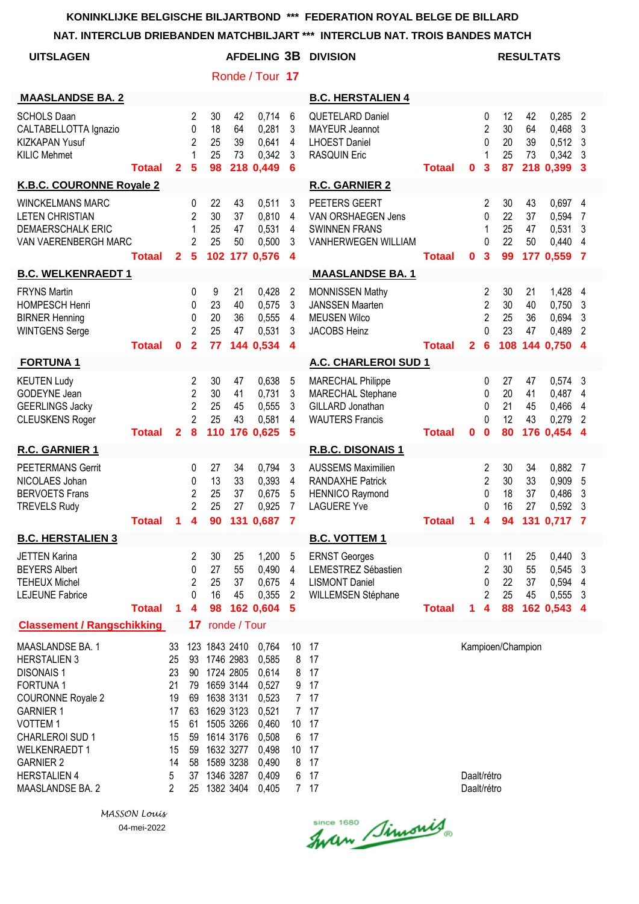**NAT. INTERCLUB DRIEBANDEN MATCHBILJART \*\*\* INTERCLUB NAT. TROIS BANDES MATCH**

| <b>UITSLAGEN</b>                                                                                                                                                                                                                                                  |               |                                                                    |                                                              |                                               |                                                                                                                   |                                                                                                          |                                                     | <b>AFDELING 3B DIVISION</b>                                                                          |               |                            |                                                 | <b>RESULTATS</b>           |                             |                                                     |                                    |
|-------------------------------------------------------------------------------------------------------------------------------------------------------------------------------------------------------------------------------------------------------------------|---------------|--------------------------------------------------------------------|--------------------------------------------------------------|-----------------------------------------------|-------------------------------------------------------------------------------------------------------------------|----------------------------------------------------------------------------------------------------------|-----------------------------------------------------|------------------------------------------------------------------------------------------------------|---------------|----------------------------|-------------------------------------------------|----------------------------|-----------------------------|-----------------------------------------------------|------------------------------------|
|                                                                                                                                                                                                                                                                   |               |                                                                    |                                                              |                                               |                                                                                                                   | Ronde / Tour 17                                                                                          |                                                     |                                                                                                      |               |                            |                                                 |                            |                             |                                                     |                                    |
| <b>MAASLANDSE BA. 2</b>                                                                                                                                                                                                                                           |               |                                                                    |                                                              |                                               |                                                                                                                   |                                                                                                          |                                                     | <b>B.C. HERSTALIEN 4</b>                                                                             |               |                            |                                                 |                            |                             |                                                     |                                    |
| <b>SCHOLS Daan</b><br>CALTABELLOTTA Ignazio<br><b>KIZKAPAN Yusuf</b><br><b>KILIC Mehmet</b>                                                                                                                                                                       | Totaal        | $\mathbf{2}$                                                       | $\overline{2}$<br>0<br>$\overline{2}$<br>1<br>5              | 30<br>18<br>25<br>25<br>98                    | 42<br>64<br>39<br>73                                                                                              | 0,714<br>0,281<br>0,641<br>0,342<br>218 0,449                                                            | 6<br>3<br>4<br>3<br>6                               | <b>QUETELARD Daniel</b><br><b>MAYEUR Jeannot</b><br><b>LHOEST Daniel</b><br><b>RASQUIN Eric</b>      | <b>Totaal</b> | 0                          | 0<br>$\overline{c}$<br>0<br>1<br>3              | 12<br>30<br>20<br>25<br>87 | 42<br>64<br>39<br>73        | 0,285<br>0,468<br>0,512<br>0,342<br>218 0,399       | 2<br>3<br>3<br>3<br>-3             |
| <b>K.B.C. COURONNE Royale 2</b>                                                                                                                                                                                                                                   |               |                                                                    |                                                              |                                               |                                                                                                                   |                                                                                                          |                                                     | <b>R.C. GARNIER 2</b>                                                                                |               |                            |                                                 |                            |                             |                                                     |                                    |
| <b>WINCKELMANS MARC</b><br><b>LETEN CHRISTIAN</b><br><b>DEMAERSCHALK ERIC</b><br>VAN VAERENBERGH MARC                                                                                                                                                             | <b>Totaal</b> | $\mathbf{2}$                                                       | $\mathbf{0}$<br>$\overline{2}$<br>1<br>2<br>5                | 22<br>30<br>25<br>25                          | 43<br>37<br>47<br>50                                                                                              | 0,511<br>0,810<br>0,531<br>0,500<br>102 177 0,576                                                        | 3<br>4<br>4<br>3<br>4                               | PEETERS GEERT<br>VAN ORSHAEGEN Jens<br><b>SWINNEN FRANS</b><br>VANHERWEGEN WILLIAM                   | <b>Totaal</b> | $\mathbf 0$                | 2<br>0<br>1<br>$\Omega$<br>3                    | 30<br>22<br>25<br>22<br>99 | 43<br>37<br>47<br>50        | 0,697 4<br>0,594<br>0,531<br>0,440<br>177 0,559     | 7<br>3<br>4<br>-7                  |
| <b>B.C. WELKENRAEDT 1</b>                                                                                                                                                                                                                                         |               |                                                                    |                                                              |                                               |                                                                                                                   |                                                                                                          |                                                     | <b>MAASLANDSE BA. 1</b>                                                                              |               |                            |                                                 |                            |                             |                                                     |                                    |
| <b>FRYNS Martin</b><br><b>HOMPESCH Henri</b><br><b>BIRNER Henning</b><br><b>WINTGENS Serge</b>                                                                                                                                                                    | <b>Totaal</b> | 0                                                                  | 0<br>0<br>$\mathbf{0}$<br>$\overline{2}$<br>$\overline{2}$   | 9<br>23<br>20<br>25<br>77                     | 21<br>40<br>36<br>47<br>144                                                                                       | 0,428<br>0,575<br>0,555<br>0,531<br>0,534                                                                | 2<br>3<br>4<br>3<br>$\boldsymbol{4}$                | <b>MONNISSEN Mathy</b><br><b>JANSSEN Maarten</b><br><b>MEUSEN Wilco</b><br>JACOBS Heinz              | <b>Totaal</b> | $\mathbf{2}$               | 2<br>2<br>2<br>0<br>6                           | 30<br>30<br>25<br>23       | 21<br>40<br>36<br>47        | 1,428<br>0,750<br>0,694<br>0,489<br>108 144 0,750 4 | 4<br>3<br>3<br>2                   |
| <b>FORTUNA1</b>                                                                                                                                                                                                                                                   |               |                                                                    |                                                              |                                               |                                                                                                                   |                                                                                                          |                                                     | A.C. CHARLEROI SUD 1                                                                                 |               |                            |                                                 |                            |                             |                                                     |                                    |
| <b>KEUTEN Ludy</b><br>GODEYNE Jean<br><b>GEERLINGS Jacky</b><br><b>CLEUSKENS Roger</b>                                                                                                                                                                            | <b>Totaal</b> | $\overline{2}$                                                     | 2<br>$\overline{2}$<br>$\overline{2}$<br>$\overline{2}$<br>8 | 30<br>30<br>25<br>25<br>110                   | 47<br>41<br>45<br>43                                                                                              | 0,638<br>0,731<br>0,555<br>0,581<br>176 0,625                                                            | 5<br>3<br>3<br>4<br>5                               | <b>MARECHAL Philippe</b><br>MARECHAL Stephane<br>GILLARD Jonathan<br><b>WAUTERS Francis</b>          | <b>Totaal</b> | 0                          | 0<br>0<br>0<br>0<br>$\bf{0}$                    | 27<br>20<br>21<br>12<br>80 | 47<br>41<br>45<br>43        | 0,574<br>0,487<br>0,466<br>0,279<br>176 0,454       | 3<br>4<br>4<br>2<br>4              |
| R.C. GARNIER 1                                                                                                                                                                                                                                                    |               |                                                                    |                                                              |                                               |                                                                                                                   |                                                                                                          |                                                     | R.B.C. DISONAIS 1                                                                                    |               |                            |                                                 |                            |                             |                                                     |                                    |
| <b>PEETERMANS Gerrit</b><br>NICOLAES Johan<br><b>BERVOETS Frans</b><br><b>TREVELS Rudy</b>                                                                                                                                                                        | Totaal        | 1                                                                  | 0<br>0<br>$\overline{c}$<br>$\overline{2}$<br>4              | 27<br>13<br>25<br>25<br>90                    | 34<br>33<br>37<br>27<br>131                                                                                       | 0,794<br>0,393<br>0,675<br>0,925<br>0,687                                                                | 3<br>4<br>5<br>7<br>7                               | <b>AUSSEMS Maximilien</b><br><b>RANDAXHE Patrick</b><br><b>HENNICO Raymond</b><br><b>LAGUERE Yve</b> | <b>Totaal</b> | 1                          | 2<br>$\overline{2}$<br>0<br>0<br>4              | 30<br>30<br>18<br>16<br>94 | 34<br>33<br>37<br>27<br>131 | 0,882<br>0,909<br>0,486<br>0,592<br>0.717           | 7<br>5<br>3<br>3<br>$\overline{7}$ |
| <b>B.C. HERSTALIEN 3</b>                                                                                                                                                                                                                                          |               |                                                                    |                                                              |                                               |                                                                                                                   |                                                                                                          |                                                     | <b>B.C. VOTTEM 1</b>                                                                                 |               |                            |                                                 |                            |                             |                                                     |                                    |
| <b>JETTEN Karina</b><br><b>BEYERS Albert</b><br><b>TEHEUX Michel</b><br><b>LEJEUNE Fabrice</b>                                                                                                                                                                    | <b>Totaal</b> | 1                                                                  | 2<br>0<br>2<br>0<br>4                                        | 30<br>27<br>25<br>16<br>98                    | 25<br>55<br>37<br>45                                                                                              | 1,200<br>0,490<br>0,675<br>0,355<br>162 0,604                                                            | 5<br>4<br>4<br>$\overline{2}$<br>5                  | <b>ERNST Georges</b><br>LEMESTREZ Sébastien<br><b>LISMONT Daniel</b><br>WILLEMSEN Stéphane           | <b>Totaal</b> | 1                          | 0<br>$\overline{2}$<br>0<br>$\overline{2}$<br>4 | 11<br>30<br>22<br>25<br>88 | 25<br>55<br>37<br>45        | 0,440<br>0,545<br>0,594<br>0,555<br>162 0,543 4     | 3<br>3<br>4<br>3                   |
| <b>Classement / Rangschikking</b>                                                                                                                                                                                                                                 |               |                                                                    | $17\phantom{.0}$                                             |                                               | ronde / Tour                                                                                                      |                                                                                                          |                                                     |                                                                                                      |               |                            |                                                 |                            |                             |                                                     |                                    |
| <b>MAASLANDSE BA. 1</b><br><b>HERSTALIEN 3</b><br><b>DISONAIS1</b><br><b>FORTUNA1</b><br><b>COURONNE Royale 2</b><br><b>GARNIER 1</b><br><b>VOTTEM1</b><br>CHARLEROI SUD 1<br><b>WELKENRAEDT 1</b><br><b>GARNIER 2</b><br><b>HERSTALIEN 4</b><br>MAASLANDSE BA. 2 |               | 33<br>25<br>23<br>21<br>19<br>17<br>15<br>15<br>15<br>14<br>5<br>2 | 79<br>69<br>63<br>61<br>59<br>59<br>58<br>37<br>25           | 123 1843 2410<br>93 1746 2983<br>90 1724 2805 | 1659 3144<br>1638 3131<br>1629 3123<br>1505 3266<br>1614 3176<br>1632 3277<br>1589 3238<br>1346 3287<br>1382 3404 | 0,764<br>0,585<br>0,614<br>0,527<br>0,523<br>0,521<br>0,460<br>0,508<br>0,498<br>0,490<br>0,409<br>0,405 | 10<br>8<br>8<br>9<br>6<br>10 <sup>°</sup><br>8<br>6 | 17<br>17<br>17<br>17<br>7 17<br>7 17<br>10 17<br>17<br>17<br>17<br>17<br>7 <sub>17</sub>             |               | Daalt/rétro<br>Daalt/rétro |                                                 | Kampioen/Champion          |                             |                                                     |                                    |

Since 1680 Simonis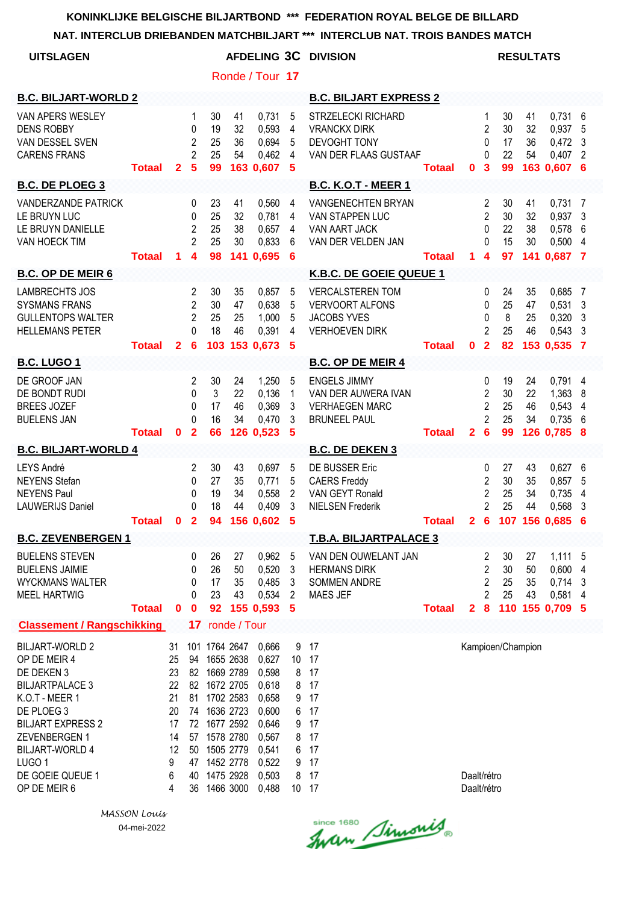**NAT. INTERCLUB DRIEBANDEN MATCHBILJART \*\*\* INTERCLUB NAT. TROIS BANDES MATCH**

| <b>UITSLAGEN</b>                                                                                                                                                                                                                               |               |                                                                   |                                                 |                                                                                                                                                                            |                      | Ronde / Tour 17                                                                                          |                                     | <b>AFDELING 3C DIVISION</b>                                                                      |               |                            |                                                                            | <b>RESULTATS</b>           |                             |                                                       |                                       |
|------------------------------------------------------------------------------------------------------------------------------------------------------------------------------------------------------------------------------------------------|---------------|-------------------------------------------------------------------|-------------------------------------------------|----------------------------------------------------------------------------------------------------------------------------------------------------------------------------|----------------------|----------------------------------------------------------------------------------------------------------|-------------------------------------|--------------------------------------------------------------------------------------------------|---------------|----------------------------|----------------------------------------------------------------------------|----------------------------|-----------------------------|-------------------------------------------------------|---------------------------------------|
| <b>B.C. BILJART-WORLD 2</b>                                                                                                                                                                                                                    |               |                                                                   |                                                 |                                                                                                                                                                            |                      |                                                                                                          |                                     | <b>B.C. BILJART EXPRESS 2</b>                                                                    |               |                            |                                                                            |                            |                             |                                                       |                                       |
| VAN APERS WESLEY<br><b>DENS ROBBY</b><br>VAN DESSEL SVEN<br><b>CARENS FRANS</b>                                                                                                                                                                | <b>Totaal</b> | $\mathbf{2}$                                                      | 1<br>0<br>$\overline{2}$<br>$\overline{2}$<br>5 | 30<br>19<br>25<br>25<br>99                                                                                                                                                 | 41<br>32<br>36<br>54 | 0,731<br>0,593<br>0,694<br>0,462<br>163 0,607                                                            | 5<br>4<br>5<br>4<br>5               | <b>STRZELECKI RICHARD</b><br><b>VRANCKX DIRK</b><br>DEVOGHT TONY<br>VAN DER FLAAS GUSTAAF        | <b>Totaal</b> | $\mathbf{0}$               | 1<br>$\overline{c}$<br>0<br>0<br>$\overline{\mathbf{3}}$                   | 30<br>30<br>17<br>22<br>99 | 41<br>32<br>36<br>54        | $0,731$ 6<br>0,937<br>0,472<br>0,407<br>163 0.607     | 5<br>3<br>$\overline{2}$<br>6         |
| <b>B.C. DE PLOEG 3</b>                                                                                                                                                                                                                         |               |                                                                   |                                                 |                                                                                                                                                                            |                      |                                                                                                          |                                     | <b>B.C. K.O.T - MEER 1</b>                                                                       |               |                            |                                                                            |                            |                             |                                                       |                                       |
| <b>VANDERZANDE PATRICK</b><br>LE BRUYN LUC<br>LE BRUYN DANIELLE<br>VAN HOECK TIM                                                                                                                                                               | <b>Totaal</b> | 1                                                                 | 0<br>0<br>2<br>$\overline{2}$<br>4              | 23<br>25<br>25<br>25<br>98                                                                                                                                                 | 41<br>32<br>38<br>30 | 0,560<br>0,781<br>0,657<br>0,833<br>141 0,695                                                            | 4<br>4<br>4<br>6<br>6               | VANGENECHTEN BRYAN<br>VAN STAPPEN LUC<br>VAN AART JACK<br>VAN DER VELDEN JAN                     | <b>Totaal</b> | 1.                         | 2<br>$\overline{2}$<br>0<br>$\Omega$<br>$\overline{\bf{4}}$                | 30<br>30<br>22<br>15<br>97 | 41<br>32<br>38<br>30<br>141 | 0,731<br>0,937<br>0,578<br>0,500<br>0,687             | -7<br>3<br>6<br>$\overline{4}$<br>- 7 |
| <b>B.C. OP DE MEIR 6</b>                                                                                                                                                                                                                       |               |                                                                   |                                                 |                                                                                                                                                                            |                      |                                                                                                          |                                     | K.B.C. DE GOEIE QUEUE 1                                                                          |               |                            |                                                                            |                            |                             |                                                       |                                       |
| <b>LAMBRECHTS JOS</b><br><b>SYSMANS FRANS</b><br><b>GULLENTOPS WALTER</b><br><b>HELLEMANS PETER</b>                                                                                                                                            | <b>Totaal</b> | $\mathbf{2}$                                                      | 2<br>2<br>$\overline{2}$<br>0<br>6              | 30<br>30<br>25<br>18<br>103                                                                                                                                                | 35<br>47<br>25<br>46 | 0,857<br>0,638<br>1,000<br>0,391<br>153 0.673                                                            | 5<br>5<br>5<br>4<br>5               | <b>VERCALSTEREN TOM</b><br><b>VERVOORT ALFONS</b><br><b>JACOBS YVES</b><br><b>VERHOEVEN DIRK</b> | <b>Totaal</b> | 0                          | 0<br>0<br>0<br>$\overline{c}$<br>$\overline{\mathbf{2}}$                   | 24<br>25<br>8<br>25<br>82  | 35<br>47<br>25<br>46        | 0,685<br>0,531<br>0,320<br>0,543<br>153 0,535         | 7<br>3<br>3<br>3<br>-7                |
| <b>B.C. LUGO 1</b>                                                                                                                                                                                                                             |               |                                                                   |                                                 |                                                                                                                                                                            |                      |                                                                                                          |                                     | <b>B.C. OP DE MEIR 4</b>                                                                         |               |                            |                                                                            |                            |                             |                                                       |                                       |
| DE GROOF JAN<br>DE BONDT RUDI<br><b>BREES JOZEF</b><br><b>BUELENS JAN</b>                                                                                                                                                                      | <b>Totaal</b> | $\mathbf{0}$                                                      | $\overline{c}$<br>0<br>0<br>0<br>$\overline{2}$ | 30<br>3<br>17<br>16<br>66                                                                                                                                                  | 24<br>22<br>46<br>34 | 1,250<br>0,136<br>0,369<br>0,470<br>126 0,523                                                            | 5<br>1<br>3<br>3<br>5               | <b>ENGELS JIMMY</b><br>VAN DER AUWERA IVAN<br><b>VERHAEGEN MARC</b><br><b>BRUNEEL PAUL</b>       | <b>Totaal</b> | $\mathbf{2}$               | 0<br>$\overline{c}$<br>$\overline{2}$<br>$\overline{2}$<br>$6\phantom{1}6$ | 19<br>30<br>25<br>25<br>99 | 24<br>22<br>46<br>34        | 0,791<br>1,363<br>0,543<br>0,735<br>126 0,785         | 4<br>8<br>4<br>6<br>- 8               |
| <b>B.C. BILJART-WORLD 4</b>                                                                                                                                                                                                                    |               |                                                                   |                                                 |                                                                                                                                                                            |                      |                                                                                                          |                                     | <b>B.C. DE DEKEN 3</b>                                                                           |               |                            |                                                                            |                            |                             |                                                       |                                       |
| LEYS André<br><b>NEYENS</b> Stefan<br><b>NEYENS Paul</b><br><b>LAUWERIJS Daniel</b>                                                                                                                                                            | Totaal 0 2    |                                                                   | 2<br>0<br>0<br>0                                | 30<br>27<br>19<br>18                                                                                                                                                       | 43<br>35<br>34<br>44 | 0,697<br>0,771<br>0,558<br>0,409<br>94 156 0,602                                                         | 5<br>5<br>2<br>3<br>- 5             | DE BUSSER Eric<br><b>CAERS Freddy</b><br>VAN GEYT Ronald<br><b>NIELSEN Frederik</b>              | <b>Totaal</b> |                            | 0<br>2<br>$\overline{2}$<br>$\overline{2}$                                 | 27<br>30<br>25<br>25       | 43<br>35<br>34<br>44        | 0,627<br>0,857<br>0,735<br>0,568<br>2 6 107 156 0,685 | 6<br>5<br>4<br>3                      |
| <b>B.C. ZEVENBERGEN 1</b>                                                                                                                                                                                                                      |               |                                                                   |                                                 |                                                                                                                                                                            |                      |                                                                                                          |                                     | <b>T.B.A. BILJARTPALACE 3</b>                                                                    |               |                            |                                                                            |                            |                             |                                                       |                                       |
| <b>BUELENS STEVEN</b><br><b>BUELENS JAIMIE</b><br><b>WYCKMANS WALTER</b><br><b>MEEL HARTWIG</b>                                                                                                                                                | <b>Totaal</b> | $\bf{0}$                                                          | 0<br>0<br>0<br>0<br>$\bf{0}$                    | 26<br>26<br>17<br>23<br>92                                                                                                                                                 | 27<br>50<br>35<br>43 | 0,962<br>0,520<br>0,485<br>0,534<br>155 0,593                                                            | $5\phantom{.0}$<br>3<br>3<br>2<br>5 | VAN DEN OUWELANT JAN<br><b>HERMANS DIRK</b><br><b>SOMMEN ANDRE</b><br><b>MAES JEF</b>            | <b>Totaal</b> | $\mathbf{2}$               | 2<br>$\overline{c}$<br>$\overline{2}$<br>$\overline{2}$<br>$\pmb{8}$       | 30<br>30<br>25<br>25       | 27<br>50<br>35<br>43        | 1,111 5<br>0,600<br>0,714<br>0,581<br>110 155 0,709 5 | 4<br>3<br>4                           |
| <b>Classement / Rangschikking</b>                                                                                                                                                                                                              |               |                                                                   | 17                                              |                                                                                                                                                                            | ronde / Tour         |                                                                                                          |                                     |                                                                                                  |               |                            |                                                                            |                            |                             |                                                       |                                       |
| <b>BILJART-WORLD 2</b><br>OP DE MEIR 4<br>DE DEKEN 3<br><b>BILJARTPALACE 3</b><br>K.O.T - MEER 1<br>DE PLOEG 3<br><b>BILJART EXPRESS 2</b><br>ZEVENBERGEN 1<br><b>BILJART-WORLD 4</b><br>LUGO <sub>1</sub><br>DE GOEIE QUEUE 1<br>OP DE MEIR 6 |               | 31<br>25<br>23<br>22<br>21<br>20<br>17<br>14<br>12<br>9<br>6<br>4 | 40<br>36                                        | 101 1764 2647<br>94 1655 2638<br>82 1669 2789<br>82 1672 2705<br>81 1702 2583<br>74 1636 2723<br>72 1677 2592<br>57 1578 2780<br>50 1505 2779<br>47 1452 2778<br>1475 2928 | 1466 3000            | 0,666<br>0,627<br>0,598<br>0,618<br>0,658<br>0,600<br>0,646<br>0,567<br>0,541<br>0,522<br>0,503<br>0,488 | 10 17<br>8<br>10 17                 | 9 17<br>8 17<br>8 17<br>9 17<br>6 17<br>9 17<br>8 17<br>6 17<br>9 17<br>- 17                     |               | Daalt/rétro<br>Daalt/rétro |                                                                            | Kampioen/Champion          |                             |                                                       |                                       |

Since 1680 Simonis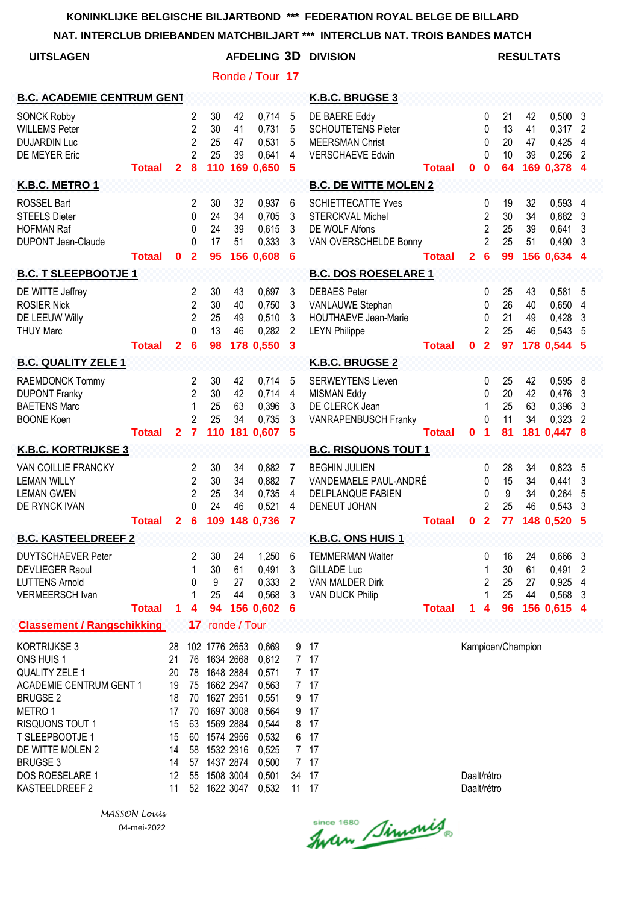**NAT. INTERCLUB DRIEBANDEN MATCHBILJART \*\*\* INTERCLUB NAT. TROIS BANDES MATCH**

| <b>UITSLAGEN</b>                                                                                                                                                                                                               |               |                                                                      |                                                                           |                                                                                                                                                                       |                      | Ronde / Tour 17                                                                                          |                                                          | <b>AFDELING 3D DIVISION</b>                                                                        |                 |                            |                                                        |                            | <b>RESULTATS</b>            |                                                     |                          |
|--------------------------------------------------------------------------------------------------------------------------------------------------------------------------------------------------------------------------------|---------------|----------------------------------------------------------------------|---------------------------------------------------------------------------|-----------------------------------------------------------------------------------------------------------------------------------------------------------------------|----------------------|----------------------------------------------------------------------------------------------------------|----------------------------------------------------------|----------------------------------------------------------------------------------------------------|-----------------|----------------------------|--------------------------------------------------------|----------------------------|-----------------------------|-----------------------------------------------------|--------------------------|
| <b>B.C. ACADEMIE CENTRUM GENT</b>                                                                                                                                                                                              |               |                                                                      |                                                                           |                                                                                                                                                                       |                      |                                                                                                          |                                                          | K.B.C. BRUGSE 3                                                                                    |                 |                            |                                                        |                            |                             |                                                     |                          |
| <b>SONCK Robby</b><br><b>WILLEMS Peter</b><br><b>DUJARDIN Luc</b><br>DE MEYER Eric                                                                                                                                             | <b>Totaal</b> | $\mathbf{2}$                                                         | $\overline{2}$<br>$\overline{2}$<br>$\overline{2}$<br>$\overline{2}$<br>8 | 30<br>30<br>25<br>25<br>110                                                                                                                                           | 42<br>41<br>47<br>39 | 0,714<br>0,731<br>0,531<br>0,641<br>169 0,650                                                            | $\overline{5}$<br>5<br>5<br>4<br>5                       | DE BAERE Eddy<br><b>SCHOUTETENS Pieter</b><br><b>MEERSMAN Christ</b><br><b>VERSCHAEVE Edwin</b>    | <b>Totaal</b>   | $\mathbf 0$                | 0<br>0<br>0<br>0<br>$\mathbf{0}$                       | 21<br>13<br>20<br>10<br>64 | 42<br>41<br>47<br>39        | $0,500$ 3<br>0,317<br>0,425<br>0,256<br>169 0,378 4 | 2<br>4<br>$\overline{c}$ |
| K.B.C. METRO 1                                                                                                                                                                                                                 |               |                                                                      |                                                                           |                                                                                                                                                                       |                      |                                                                                                          |                                                          | <b>B.C. DE WITTE MOLEN 2</b>                                                                       |                 |                            |                                                        |                            |                             |                                                     |                          |
| <b>ROSSEL Bart</b><br><b>STEELS Dieter</b><br><b>HOFMAN Raf</b><br><b>DUPONT Jean-Claude</b>                                                                                                                                   | <b>Totaal</b> | $\mathbf 0$                                                          | 2<br>$\Omega$<br>0<br>$\Omega$<br>$\mathbf{2}$                            | 30<br>24<br>24<br>17<br>95                                                                                                                                            | 32<br>34<br>39<br>51 | 0,937<br>0,705<br>0,615<br>0,333<br>156 0,608                                                            | 6<br>3<br>3<br>3<br>6                                    | <b>SCHIETTECATTE Yves</b><br><b>STERCKVAL Michel</b><br>DE WOLF Alfons<br>VAN OVERSCHELDE Bonny    | <b>Totaal</b>   | $\overline{2}$             | 0<br>2<br>2<br>$\overline{2}$<br>$6\phantom{1}6$       | 19<br>30<br>25<br>25<br>99 | 32<br>34<br>39<br>51        | 0,593<br>0,882<br>0,641<br>0,490<br>156 0,634 4     | 4<br>3<br>3<br>3         |
| <b>B.C. T SLEEPBOOTJE 1</b>                                                                                                                                                                                                    |               |                                                                      |                                                                           |                                                                                                                                                                       |                      |                                                                                                          |                                                          | <b>B.C. DOS ROESELARE 1</b>                                                                        |                 |                            |                                                        |                            |                             |                                                     |                          |
| DE WITTE Jeffrey<br><b>ROSIER Nick</b><br>DE LEEUW Willy<br><b>THUY Marc</b>                                                                                                                                                   | <b>Totaal</b> | $\mathbf{2}$                                                         | 2<br>$\overline{2}$<br>$\overline{2}$<br>$\Omega$<br>$6\phantom{1}6$      | 30<br>30<br>25<br>13<br>98                                                                                                                                            | 43<br>40<br>49<br>46 | 0,697<br>0,750<br>0,510<br>0,282<br>178 0,550                                                            | 3<br>3<br>3<br>$\overline{c}$<br>3                       | <b>DEBAES Peter</b><br>VANLAUWE Stephan<br><b>HOUTHAEVE Jean-Marie</b><br><b>LEYN Philippe</b>     | <b>Totaal</b>   | $\mathbf 0$                | 0<br>0<br>0<br>$\overline{2}$<br>$\overline{2}$        | 25<br>26<br>21<br>25<br>97 | 43<br>40<br>49<br>46        | 0,581<br>0,650<br>0,428<br>0,543<br>178 0,544 5     | 5<br>4<br>3<br>5         |
| <b>B.C. QUALITY ZELE 1</b>                                                                                                                                                                                                     |               |                                                                      |                                                                           |                                                                                                                                                                       |                      |                                                                                                          |                                                          | K.B.C. BRUGSE 2                                                                                    |                 |                            |                                                        |                            |                             |                                                     |                          |
| RAEMDONCK Tommy<br><b>DUPONT Franky</b><br><b>BAETENS Marc</b><br><b>BOONE Koen</b>                                                                                                                                            | <b>Totaal</b> | $\mathbf{2}$                                                         | $\overline{2}$<br>$\overline{2}$<br>1<br>$\overline{2}$<br>$\overline{7}$ | 30<br>30<br>25<br>25                                                                                                                                                  | 42<br>42<br>63<br>34 | 0,714<br>0,714<br>0,396<br>0,735<br>110 181 0,607                                                        | 5<br>4<br>3<br>3<br>5                                    | <b>SERWEYTENS Lieven</b><br><b>MISMAN Eddy</b><br>DE CLERCK Jean<br>VANRAPENBUSCH Franky           | <b>Totaal</b>   | $\mathbf 0$                | 0<br>0<br>1<br>0<br>$\blacktriangleleft$               | 25<br>20<br>25<br>11<br>81 | 42<br>42<br>63<br>34<br>181 | 0,595<br>0,476<br>0,396<br>0,323<br>$0,447$ 8       | - 8<br>3<br>3<br>2       |
| <b>K.B.C. KORTRIJKSE 3</b>                                                                                                                                                                                                     |               |                                                                      |                                                                           |                                                                                                                                                                       |                      |                                                                                                          |                                                          | <b>B.C. RISQUONS TOUT 1</b>                                                                        |                 |                            |                                                        |                            |                             |                                                     |                          |
| VAN COILLIE FRANCKY<br><b>LEMAN WILLY</b><br><b>LEMAN GWEN</b><br>DE RYNCK IVAN                                                                                                                                                | Totaal 2 6    |                                                                      | 2<br>2<br>2<br>0                                                          | 30<br>30<br>25<br>24                                                                                                                                                  | 34<br>34<br>34<br>46 | 0,882<br>0,882<br>0,735<br>0,521<br>109 148 0,736                                                        | 7<br>$\overline{7}$<br>4<br>4<br>$\overline{\mathbf{7}}$ | <b>BEGHIN JULIEN</b><br>VANDEMAELE PAUL-ANDRÉ<br>DELPLANQUE FABIEN<br><b>DENEUT JOHAN</b>          | <b>Totaal 0</b> |                            | 0<br>0<br>$\mathbf{0}$<br>2<br>$\overline{\mathbf{2}}$ | 28<br>15<br>9<br>25<br>77  | 34<br>34<br>34<br>46        | 0,823<br>0,441<br>0,264<br>0,543<br>148 0,520 5     | 5<br>3<br>5<br>3         |
| <b>B.C. KASTEELDREEF 2</b>                                                                                                                                                                                                     |               |                                                                      |                                                                           |                                                                                                                                                                       |                      |                                                                                                          |                                                          | <b>K.B.C. ONS HUIS 1</b>                                                                           |                 |                            |                                                        |                            |                             |                                                     |                          |
| <b>DUYTSCHAEVER Peter</b><br><b>DEVLIEGER Raoul</b><br><b>LUTTENS Arnold</b><br>VERMEERSCH Ivan                                                                                                                                | <b>Totaal</b> | 1                                                                    | 2<br>1<br>0<br>1<br>4                                                     | 30<br>30<br>9<br>25<br>94                                                                                                                                             | 24<br>61<br>27<br>44 | 1,250<br>0,491<br>0,333<br>0,568<br>156 0,602                                                            | 6<br>3<br>$\overline{2}$<br>3<br>6                       | <b>TEMMERMAN Walter</b><br><b>GILLADE Luc</b><br><b>VAN MALDER Dirk</b><br><b>VAN DIJCK Philip</b> | <b>Totaal</b>   | 1.                         | 0<br>1<br>2<br>4                                       | 16<br>30<br>25<br>25<br>96 | 24<br>61<br>27<br>44        | 0,666<br>0,491<br>0,925<br>0,568<br>156 0,615 4     | 3<br>2<br>4<br>3         |
| <b>Classement / Rangschikking</b>                                                                                                                                                                                              |               |                                                                      | 17                                                                        |                                                                                                                                                                       | ronde / Tour         |                                                                                                          |                                                          |                                                                                                    |                 |                            |                                                        |                            |                             |                                                     |                          |
| KORTRIJKSE 3<br>ONS HUIS 1<br>QUALITY ZELE 1<br><b>ACADEMIE CENTRUM GENT 1</b><br><b>BRUGSE 2</b><br>METRO 1<br>RISQUONS TOUT 1<br>T SLEEPBOOTJE 1<br>DE WITTE MOLEN 2<br><b>BRUGSE 3</b><br>DOS ROESELARE 1<br>KASTEELDREEF 2 |               | 28<br>21<br>20<br>19<br>18<br>17<br>15<br>15<br>14<br>14<br>12<br>11 | 78<br>75<br>70<br>70<br>63<br>60<br>58<br>57                              | 102 1776 2653<br>76 1634 2668<br>1648 2884<br>1662 2947<br>1627 2951<br>1697 3008<br>1569 2884<br>1574 2956<br>1532 2916<br>1437 2874<br>55 1508 3004<br>52 1622 3047 |                      | 0,669<br>0,612<br>0,571<br>0,563<br>0,551<br>0,564<br>0,544<br>0,532<br>0,525<br>0,500<br>0,501<br>0,532 | 9<br>9<br>9<br>34<br>11 17                               | 17<br>7 17<br>7 17<br>7 17<br>17<br>17<br>8 17<br>6 17<br>7 17<br>7 17<br>17                       |                 | Daalt/rétro<br>Daalt/rétro |                                                        |                            | Kampioen/Champion           |                                                     |                          |

since 1680 Simonis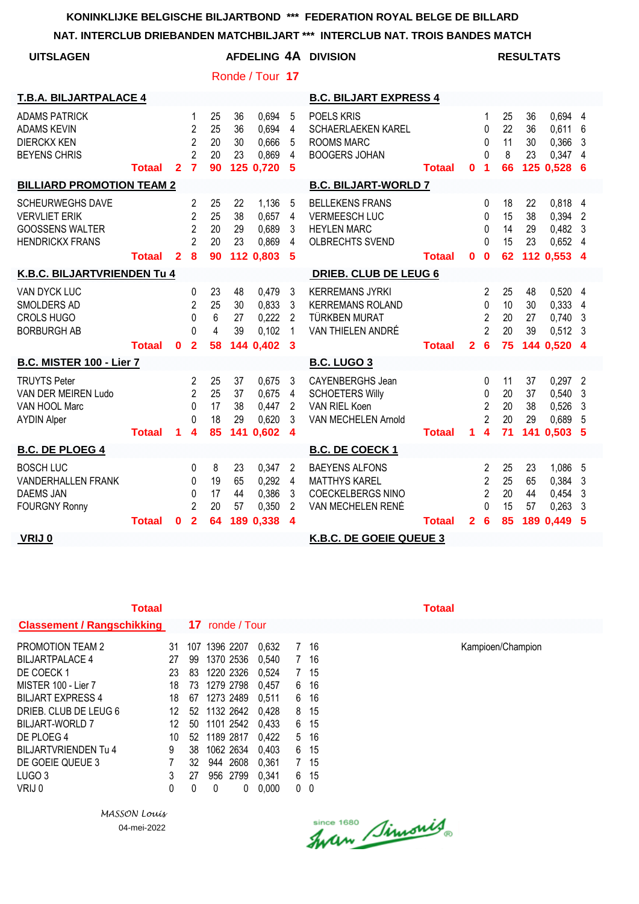## **NAT. INTERCLUB DRIEBANDEN MATCHBILJART \*\*\* INTERCLUB NAT. TROIS BANDES MATCH**

| 11. INTERCEOD DRIEDANDEN MATCHBIEJART                                                               |               |              |                                                                           |                            |                             |                                               |                                                         | LNGLUD NAT. TNOIS DANDLS MATGH                                                                 |               |              |                                                                |                            |                             |                                                       |                                     |
|-----------------------------------------------------------------------------------------------------|---------------|--------------|---------------------------------------------------------------------------|----------------------------|-----------------------------|-----------------------------------------------|---------------------------------------------------------|------------------------------------------------------------------------------------------------|---------------|--------------|----------------------------------------------------------------|----------------------------|-----------------------------|-------------------------------------------------------|-------------------------------------|
| <b>UITSLAGEN</b>                                                                                    |               |              |                                                                           |                            |                             |                                               |                                                         | AFDELING 4A DIVISION                                                                           |               |              |                                                                |                            | <b>RESULTATS</b>            |                                                       |                                     |
|                                                                                                     |               |              |                                                                           |                            |                             | Ronde / Tour 17                               |                                                         |                                                                                                |               |              |                                                                |                            |                             |                                                       |                                     |
| <b>T.B.A. BILJARTPALACE 4</b>                                                                       |               |              |                                                                           |                            |                             |                                               |                                                         | <b>B.C. BILJART EXPRESS 4</b>                                                                  |               |              |                                                                |                            |                             |                                                       |                                     |
| <b>ADAMS PATRICK</b><br><b>ADAMS KEVIN</b><br><b>DIERCKX KEN</b><br><b>BEYENS CHRIS</b>             | <b>Totaal</b> | $\mathbf{2}$ | 1<br>$\overline{2}$<br>$\overline{2}$<br>$\overline{2}$<br>$\overline{7}$ | 25<br>25<br>20<br>20<br>90 | 36<br>36<br>30<br>23        | 0.694<br>0.694<br>0,666<br>0,869<br>125 0,720 | 5<br>4<br>5<br>4<br>5                                   | POELS KRIS<br><b>SCHAERLAEKEN KAREL</b><br><b>ROOMS MARC</b><br><b>BOOGERS JOHAN</b>           | <b>Totaal</b> | $\bf{0}$     | 1<br>$\Omega$<br>0<br>$\Omega$<br>$\blacktriangleleft$         | 25<br>22<br>11<br>8<br>66  | 36<br>36<br>30<br>23        | 0,694 4<br>0,611<br>0,366<br>$0,347$ 4<br>125 0,528 6 | 6<br>3                              |
| <b>BILLIARD PROMOTION TEAM 2</b>                                                                    |               |              |                                                                           |                            |                             |                                               |                                                         | <b>B.C. BILJART-WORLD 7</b>                                                                    |               |              |                                                                |                            |                             |                                                       |                                     |
| <b>SCHEURWEGHS DAVE</b><br><b>VERVLIET ERIK</b><br><b>GOOSSENS WALTER</b><br><b>HENDRICKX FRANS</b> |               |              | 2<br>$\overline{2}$<br>$\overline{2}$<br>$\overline{2}$                   | 25<br>25<br>20<br>20       | 22<br>38<br>29<br>23        | 1,136<br>0.657<br>0,689<br>0,869              | 5<br>$\overline{4}$<br>3<br>4                           | <b>BELLEKENS FRANS</b><br><b>VERMEESCH LUC</b><br><b>HEYLEN MARC</b><br>OLBRECHTS SVEND        |               |              | 0<br>$\Omega$<br>$\Omega$<br>$\Omega$                          | 18<br>15<br>14<br>15       | 22<br>38<br>29<br>23        | 0.818 4<br>0,394 2<br>$0,482$ 3<br>$0,652$ 4          |                                     |
|                                                                                                     | <b>Totaal</b> | $\mathbf{2}$ | 8                                                                         | 90                         |                             | 112 0,803                                     | 5                                                       |                                                                                                | Totaal        | $\mathbf 0$  | $\mathbf 0$                                                    | 62                         |                             | 112 0,553 4                                           |                                     |
| K.B.C. BILJARTVRIENDEN Tu 4                                                                         |               |              |                                                                           |                            |                             |                                               |                                                         | DRIEB. CLUB DE LEUG 6                                                                          |               |              |                                                                |                            |                             |                                                       |                                     |
| VAN DYCK LUC<br>SMOLDERS AD<br><b>CROLS HUGO</b><br><b>BORBURGH AB</b>                              |               |              | $\mathbf{0}$<br>2<br>$\Omega$<br>U                                        | 23<br>25<br>6<br>4         | 48<br>30<br>27<br>39        | 0,479<br>0,833<br>0,222<br>0,102              | 3<br>3<br>$\overline{2}$<br>$\mathbf{1}$                | <b>KERREMANS JYRKI</b><br><b>KERREMANS ROLAND</b><br><b>TÜRKBEN MURAT</b><br>VAN THIELEN ANDRÉ |               |              | $\mathbf{2}$<br>0<br>$\overline{2}$<br>$\overline{2}$          | 25<br>10<br>20<br>20       | 48<br>30<br>27<br>39        | $0,520$ 4<br>0,333<br>0,740,3<br>$0,512$ 3            | $\overline{4}$                      |
|                                                                                                     | <b>Totaal</b> | $\bf{0}$     | $\overline{2}$                                                            | 58                         |                             | 144 0,402                                     | 3                                                       |                                                                                                | <b>Totaal</b> | $\mathbf{2}$ | $6\phantom{1}6$                                                | 75                         |                             | 144 0.520 4                                           |                                     |
| <b>B.C. MISTER 100 - Lier 7</b>                                                                     |               |              |                                                                           |                            |                             |                                               |                                                         | <b>B.C. LUGO 3</b>                                                                             |               |              |                                                                |                            |                             |                                                       |                                     |
| <b>TRUYTS Peter</b><br>VAN DER MEIREN Ludo<br>VAN HOOL Marc<br><b>AYDIN Alper</b>                   | <b>Totaal</b> | 1.           | 2<br>$\overline{2}$<br>$\Omega$<br>0<br>4                                 | 25<br>25<br>17<br>18<br>85 | 37<br>37<br>38<br>29<br>141 | 0.675<br>0,675<br>0,447<br>0,620<br>0,602     | 3<br>4<br>$\overline{2}$<br>3<br>$\boldsymbol{4}$       | CAYENBERGHS Jean<br><b>SCHOETERS Willy</b><br>VAN RIEL Koen<br>VAN MECHELEN Arnold             | <b>Totaal</b> | 1            | 0<br>0<br>$\overline{2}$<br>$\overline{2}$<br>$\boldsymbol{4}$ | 11<br>20<br>20<br>20<br>71 | 37<br>37<br>38<br>29<br>141 | 0,297<br>0,540<br>0,526<br>0,689<br>0,503             | $\overline{2}$<br>3<br>3<br>-5<br>5 |
| <b>B.C. DE PLOEG 4</b>                                                                              |               |              |                                                                           |                            |                             |                                               |                                                         | <b>B.C. DE COECK 1</b>                                                                         |               |              |                                                                |                            |                             |                                                       |                                     |
| <b>BOSCH LUC</b><br><b>VANDERHALLEN FRANK</b><br><b>DAEMS JAN</b><br><b>FOURGNY Ronny</b>           |               |              | $\mathbf{0}$<br>$\Omega$<br>$\Omega$<br>$\overline{2}$                    | 8<br>19<br>17<br>20        | 23<br>65<br>44<br>57        | 0,347<br>0,292<br>0,386<br>0,350              | $\overline{2}$<br>$\overline{4}$<br>3<br>$\overline{2}$ | <b>BAEYENS ALFONS</b><br><b>MATTHYS KAREL</b><br><b>COECKELBERGS NINO</b><br>VAN MECHELEN RENÉ |               |              | 2<br>$\overline{2}$<br>$\overline{2}$<br>$\Omega$              | 25<br>25<br>20<br>15       | 23<br>65<br>44<br>57        | 1,086<br>0,384<br>0,454<br>0,263                      | - 5<br>3<br>3<br>3                  |
| VRIJ 0                                                                                              | <b>Totaal</b> | $\bf{0}$     | $\overline{2}$                                                            | 64                         |                             | 189 0.338                                     | $\boldsymbol{4}$                                        | K.B.C. DE GOEIE QUEUE 3                                                                        | <b>Totaal</b> | $\mathbf{2}$ | $6\phantom{1}6$                                                | 85                         |                             | 189 0,449                                             | 5                                   |
|                                                                                                     |               |              |                                                                           |                            |                             |                                               |                                                         |                                                                                                |               |              |                                                                |                            |                             |                                                       |                                     |

| Totaal                            |    |     |                 |       |                |      | Totaal |
|-----------------------------------|----|-----|-----------------|-------|----------------|------|--------|
| <b>Classement / Rangschikking</b> |    |     | 17 ronde / Tour |       |                |      |        |
| <b>PROMOTION TEAM 2</b>           | 31 | 107 | 1396 2207       | 0.632 | 7              | 16   |        |
| <b>BILJARTPALACE 4</b>            | 27 | 99  | 1370 2536       | 0.540 | $7\phantom{.}$ | 16   |        |
| DE COECK 1                        | 23 | 83  | 1220 2326       | 0.524 | $7\phantom{.}$ | 15   |        |
| MISTER 100 - Lier 7               | 18 | 73  | 1279 2798       | 0.457 | 6              | 16   |        |
| <b>BILJART EXPRESS 4</b>          | 18 | 67  | 1273 2489       | 0.511 | 6              | 16   |        |
| DRIEB. CLUB DE LEUG 6             | 12 | 52  | 1132 2642       | 0.428 | 8              | -15  |        |
| BILJART-WORLD 7                   | 12 | 50  | 1101 2542       | 0,433 | 6              | - 15 |        |
| DE PLOEG 4                        | 10 |     | 52 1189 2817    | 0.422 |                | 5 16 |        |
| BILJARTVRIENDEN Tu 4              | 9  | 38  | 1062 2634       | 0,403 | 6.             | -15  |        |
| DE GOEIE QUEUE 3                  | 7  | 32  | 944 2608        | 0.361 | $7^{\circ}$    | -15  |        |
| LUGO <sub>3</sub>                 | 3  | 27  | 956 2799        | 0,341 | 6              | 15   |        |
| VRIJ 0                            | 0  | 0   | 0<br>0          | 0.000 | 0              | 0    |        |

*MASSON Louis* 04-mei-2022

Since 1680 Simonis

PROMOTION TEAM 2 31 107 1396 2207 0,632 7 16 Kampioen/Champion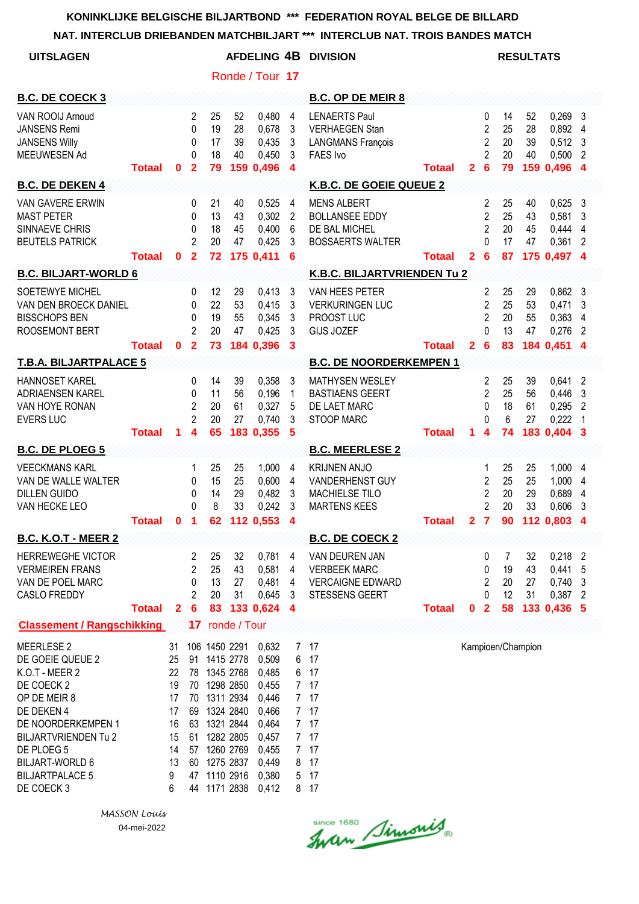**NAT. INTERCLUB DRIEBANDEN MATCHBILJART \*\*\* INTERCLUB NAT. TROIS BANDES MATCH**

| NAI. INTERCLUB DRIEBANDEN MATCHBILJART                                                                                                                                                                                            |               |                                                                    |                                                                          |                            |                                                                                                                                                       |                                                                                                          |                                                                                           | ***<br>INTERCLUB NAT. TROIS BANDES MATCH                                                  |               |                |                                                                            |                            |                      |                                                          |                                                                                   |
|-----------------------------------------------------------------------------------------------------------------------------------------------------------------------------------------------------------------------------------|---------------|--------------------------------------------------------------------|--------------------------------------------------------------------------|----------------------------|-------------------------------------------------------------------------------------------------------------------------------------------------------|----------------------------------------------------------------------------------------------------------|-------------------------------------------------------------------------------------------|-------------------------------------------------------------------------------------------|---------------|----------------|----------------------------------------------------------------------------|----------------------------|----------------------|----------------------------------------------------------|-----------------------------------------------------------------------------------|
| <b>UITSLAGEN</b>                                                                                                                                                                                                                  |               |                                                                    |                                                                          |                            |                                                                                                                                                       |                                                                                                          |                                                                                           | <b>AFDELING 4B DIVISION</b>                                                               |               |                |                                                                            |                            | <b>RESULTATS</b>     |                                                          |                                                                                   |
|                                                                                                                                                                                                                                   |               |                                                                    |                                                                          |                            |                                                                                                                                                       | Ronde / Tour 17                                                                                          |                                                                                           |                                                                                           |               |                |                                                                            |                            |                      |                                                          |                                                                                   |
| <b>B.C. DE COECK 3</b>                                                                                                                                                                                                            |               |                                                                    |                                                                          |                            |                                                                                                                                                       |                                                                                                          |                                                                                           | <b>B.C. OP DE MEIR 8</b>                                                                  |               |                |                                                                            |                            |                      |                                                          |                                                                                   |
| VAN ROOIJ Arnoud<br><b>JANSENS Remi</b><br><b>JANSENS Willy</b><br>MEEUWESEN Ad                                                                                                                                                   | <b>Totaal</b> | 0                                                                  | $\overline{2}$<br>$\Omega$<br>$\mathbf{0}$<br>$\Omega$<br>$\overline{2}$ | 25<br>19<br>17<br>18<br>79 | 52<br>28<br>39<br>40                                                                                                                                  | 0,480<br>0,678<br>0,435<br>0,450<br>159 0,496                                                            | $\overline{4}$<br>$\mathbf{3}$<br>$\mathbf{3}$<br>$\mathbf{3}$<br>$\overline{\mathbf{4}}$ | <b>LENAERTS Paul</b><br><b>VERHAEGEN Stan</b><br><b>LANGMANS François</b><br>FAES Ivo     | <b>Totaal</b> | $\overline{2}$ | 0<br>$\overline{2}$<br>$\overline{2}$<br>$\overline{2}$<br>$6\phantom{1}6$ | 14<br>25<br>20<br>20<br>79 | 52<br>28<br>39<br>40 | 0,269<br>0,892 4<br>0,512<br>0,500<br>159 0,496 4        | $\mathbf{3}$<br>$\mathbf{3}$<br>$\overline{2}$                                    |
| <b>B.C. DE DEKEN 4</b>                                                                                                                                                                                                            |               |                                                                    |                                                                          |                            |                                                                                                                                                       |                                                                                                          |                                                                                           | K.B.C. DE GOEIE QUEUE 2                                                                   |               |                |                                                                            |                            |                      |                                                          |                                                                                   |
| <b>VAN GAVERE ERWIN</b><br><b>MAST PETER</b><br>SINNAEVE CHRIS<br><b>BEUTELS PATRICK</b>                                                                                                                                          | <b>Totaal</b> | $\mathbf 0$                                                        | 0<br>$\mathbf{0}$<br>$\mathbf{0}$<br>$\overline{2}$<br>$\overline{2}$    | 21<br>13<br>18<br>20<br>72 | 40<br>43<br>45<br>47                                                                                                                                  | 0,525<br>0,302<br>0,400<br>0,425<br>175 0,411                                                            | $\overline{4}$<br>$\overline{2}$<br>6<br>3<br>6                                           | <b>MENS ALBERT</b><br><b>BOLLANSEE EDDY</b><br>DE BAL MICHEL<br><b>BOSSAERTS WALTER</b>   | <b>Totaal</b> | 2 <sup>1</sup> | 2<br>$\overline{2}$<br>$\overline{2}$<br>$\Omega$<br>$6\phantom{1}6$       | 25<br>25<br>20<br>17<br>87 | 40<br>43<br>45<br>47 | 0,625<br>0,581<br>0,444<br>0,361<br>175 0,497 4          | 3<br>3<br>$\overline{4}$<br>$\overline{2}$                                        |
| <b>B.C. BILJART-WORLD 6</b>                                                                                                                                                                                                       |               |                                                                    |                                                                          |                            |                                                                                                                                                       |                                                                                                          |                                                                                           | K.B.C. BILJARTVRIENDEN Tu 2                                                               |               |                |                                                                            |                            |                      |                                                          |                                                                                   |
| SOETEWYE MICHEL<br>VAN DEN BROECK DANIEL<br><b>BISSCHOPS BEN</b><br><b>ROOSEMONT BERT</b>                                                                                                                                         | <b>Totaal</b> | $\mathbf 0$                                                        | 0<br>0<br>0<br>2<br>$\overline{2}$                                       | 12<br>22<br>19<br>20<br>73 | 29<br>53<br>55<br>47                                                                                                                                  | 0,413<br>0,415<br>0,345<br>0,425<br>184 0,396                                                            | 3<br>3<br>3<br>3<br>$\mathbf{3}$                                                          | VAN HEES PETER<br><b>VERKURINGEN LUC</b><br>PROOST LUC<br><b>GIJS JOZEF</b>               | <b>Totaal</b> | $\mathbf{2}$   | $\overline{2}$<br>$\overline{2}$<br>$\overline{2}$<br>0<br>$6\phantom{1}6$ | 25<br>25<br>20<br>13<br>83 | 29<br>53<br>55<br>47 | $0,862$ 3<br>0,471<br>0,363<br>0,276<br>184 0,451        | 3<br>4<br>$\overline{2}$<br>$\boldsymbol{4}$                                      |
| <b>T.B.A. BILJARTPALACE 5</b>                                                                                                                                                                                                     |               |                                                                    |                                                                          |                            |                                                                                                                                                       |                                                                                                          |                                                                                           | <b>B.C. DE NOORDERKEMPEN 1</b>                                                            |               |                |                                                                            |                            |                      |                                                          |                                                                                   |
| HANNOSET KAREL<br>ADRIAENSEN KAREL<br>VAN HOYE RONAN<br><b>EVERS LUC</b>                                                                                                                                                          | <b>Totaal</b> | 1.                                                                 | 0<br>$\mathbf{0}$<br>$\overline{2}$<br>$\overline{2}$<br>4               | 14<br>11<br>20<br>20<br>65 | 39<br>56<br>61<br>27                                                                                                                                  | 0,358<br>0,196<br>0,327<br>0,740<br>183 0,355                                                            | 3<br>$\mathbf{1}$<br>5<br>3<br>5                                                          | <b>MATHYSEN WESLEY</b><br><b>BASTIAENS GEERT</b><br>DE LAET MARC<br><b>STOOP MARC</b>     | <b>Totaal</b> | 1              | $\overline{2}$<br>$\overline{2}$<br>$\mathbf{0}$<br>$\Omega$<br>4          | 25<br>25<br>18<br>6<br>74  | 39<br>56<br>61<br>27 | 0,641<br>0,446<br>0,295<br>0,222<br>183 0.404            | $\overline{2}$<br>$\mathbf{3}$<br>$\overline{2}$<br>$\overline{\phantom{1}}$<br>3 |
| <b>B.C. DE PLOEG 5</b>                                                                                                                                                                                                            |               |                                                                    |                                                                          |                            |                                                                                                                                                       |                                                                                                          |                                                                                           | <b>B.C. MEERLESE 2</b>                                                                    |               |                |                                                                            |                            |                      |                                                          |                                                                                   |
| <b>VEECKMANS KARL</b><br>VAN DE WALLE WALTER<br><b>DILLEN GUIDO</b><br>VAN HECKE LEO                                                                                                                                              | <b>Totaal</b> | $\mathbf 0$                                                        | 1<br>$\mathbf{0}$<br>0<br>$\Omega$<br>$\blacksquare$                     | 25<br>15<br>14<br>8        | 25<br>25<br>29<br>33                                                                                                                                  | 1,000<br>0,600<br>0,482<br>0,242<br>62 112 0,553 4                                                       | 4<br>$\overline{4}$<br>3<br>3                                                             | <b>KRIJNEN ANJO</b><br>VANDERHENST GUY<br><b>MACHIELSE TILO</b><br><b>MARTENS KEES</b>    | <b>Totaal</b> |                | 1<br>$\overline{2}$<br>$\overline{2}$<br>$\overline{2}$                    | 25<br>25<br>20<br>20       | 25<br>25<br>29<br>33 | 1,000 4<br>1,000<br>0,689<br>0,606<br>2 7 90 112 0,803 4 | 4<br>4<br>3                                                                       |
| <b>B.C. K.O.T - MEER 2</b>                                                                                                                                                                                                        |               |                                                                    |                                                                          |                            |                                                                                                                                                       |                                                                                                          |                                                                                           | <b>B.C. DE COECK 2</b>                                                                    |               |                |                                                                            |                            |                      |                                                          |                                                                                   |
| <b>HERREWEGHE VICTOR</b><br><b>VERMEIREN FRANS</b><br>VAN DE POEL MARC<br><b>CASLO FREDDY</b>                                                                                                                                     | <b>Totaal</b> | $\mathbf{2}$                                                       | 2<br>$\overline{c}$<br>0<br>2<br>$6\phantom{1}6$                         | 25<br>25<br>13<br>20<br>83 | 32<br>43<br>27<br>31                                                                                                                                  | 0,781<br>0,581<br>0,481<br>0,645<br>133 0,624                                                            | 4<br>4<br>4<br>3<br>4                                                                     | VAN DEUREN JAN<br><b>VERBEEK MARC</b><br><b>VERCAIGNE EDWARD</b><br><b>STESSENS GEERT</b> | <b>Totaal</b> | $\mathbf 0$    | 0<br>0<br>$\overline{c}$<br>0<br>$\overline{\mathbf{2}}$                   | 7<br>19<br>20<br>12<br>58  | 32<br>43<br>27<br>31 | 0,218<br>0,441<br>0,740<br>0,387<br>133 0,436 5          | $\overline{2}$<br>5<br>3<br>2                                                     |
| <b>Classement / Rangschikking</b>                                                                                                                                                                                                 |               |                                                                    |                                                                          |                            | 17 ronde / Tour                                                                                                                                       |                                                                                                          |                                                                                           |                                                                                           |               |                |                                                                            |                            |                      |                                                          |                                                                                   |
| MEERLESE 2<br>DE GOEIE QUEUE 2<br>K.O.T - MEER 2<br>DE COECK 2<br>OP DE MEIR 8<br>DE DEKEN 4<br>DE NOORDERKEMPEN 1<br><b>BILJARTVRIENDEN Tu 2</b><br>DE PLOEG 5<br><b>BILJART-WORLD 6</b><br><b>BILJARTPALACE 5</b><br>DE COECK 3 |               | 31<br>25<br>22<br>19<br>17<br>17<br>16<br>15<br>14<br>13<br>9<br>6 | 70<br>70<br>69<br>63<br>61<br>57<br>60<br>47<br>44                       | 1275 2837                  | 106 1450 2291<br>91 1415 2778<br>78 1345 2768<br>1298 2850<br>1311 2934<br>1324 2840<br>1321 2844<br>1282 2805<br>1260 2769<br>1110 2916<br>1171 2838 | 0,632<br>0,509<br>0,485<br>0,455<br>0,446<br>0,466<br>0,464<br>0,457<br>0,455<br>0,449<br>0,380<br>0,412 | 7<br>6<br>6<br>7 <sup>7</sup><br>8<br>5                                                   | 17<br>17<br>17<br>7 17<br>7 17<br>7 17<br>7 17<br>7 17<br>17<br>17<br>17<br>8 17          |               |                |                                                                            |                            | Kampioen/Champion    |                                                          |                                                                                   |

since 1680 Simonis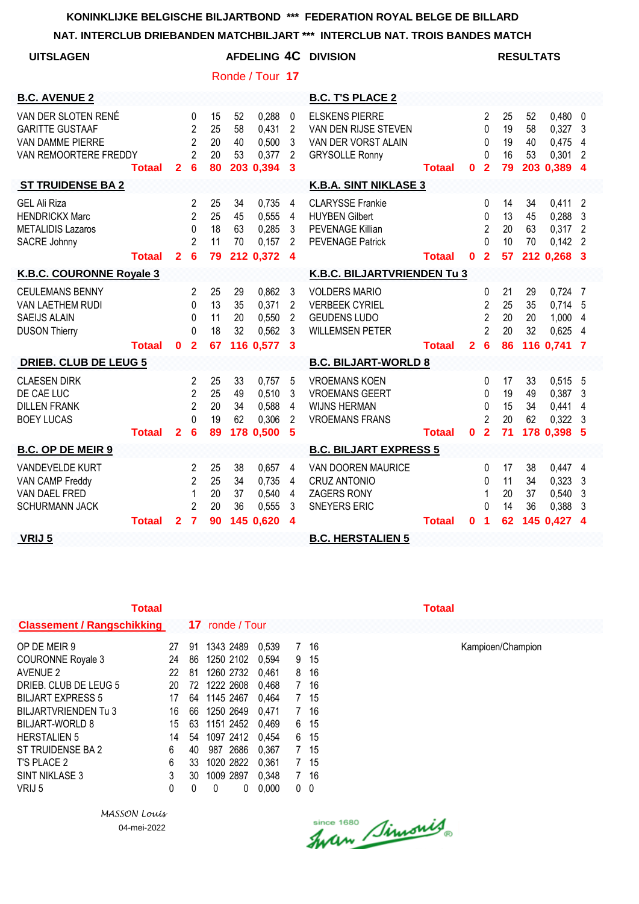#### **NAT. INTERCLUB DRIEBANDEN MATCHBILJART \*\*\* INTERCLUB NAT. TROIS BANDES MATCH**

| <b>UITSLAGEN</b>                                                                           |               |                |                                                                    |                            |                      | Ronde / Tour 17                               |                                                           | AFDELING 4C DIVISION                                                                                   |               |                |                                                                   |                            | <b>RESULTATS</b>     |                                                     |                                                         |
|--------------------------------------------------------------------------------------------|---------------|----------------|--------------------------------------------------------------------|----------------------------|----------------------|-----------------------------------------------|-----------------------------------------------------------|--------------------------------------------------------------------------------------------------------|---------------|----------------|-------------------------------------------------------------------|----------------------------|----------------------|-----------------------------------------------------|---------------------------------------------------------|
| <b>B.C. AVENUE 2</b>                                                                       |               |                |                                                                    |                            |                      |                                               |                                                           | <b>B.C. T'S PLACE 2</b>                                                                                |               |                |                                                                   |                            |                      |                                                     |                                                         |
| VAN DER SLOTEN RENÉ<br><b>GARITTE GUSTAAF</b><br>VAN DAMME PIERRE<br>VAN REMOORTERE FREDDY | <b>Totaal</b> | $\mathbf{2}$   | 0<br>$\overline{2}$<br>$\overline{2}$<br>$\overline{2}$<br>6       | 15<br>25<br>20<br>20<br>80 | 52<br>58<br>40<br>53 | 0,288<br>0,431<br>0,500<br>0,377<br>203 0,394 | $\mathbf 0$<br>$\overline{2}$<br>3<br>$\overline{2}$<br>3 | <b>ELSKENS PIERRE</b><br>VAN DEN RIJSE STEVEN<br>VAN DER VORST ALAIN<br><b>GRYSOLLE Ronny</b>          | <b>Totaal</b> | $\bf{0}$       | 2<br>$\Omega$<br>0<br>$\Omega$<br>$\overline{2}$                  | 25<br>19<br>19<br>16<br>79 | 52<br>58<br>40<br>53 | $0,480$ 0<br>0,327<br>0,475<br>0,301<br>203 0,389 4 | 3<br>4<br>$\overline{2}$                                |
| <b>ST TRUIDENSE BA 2</b>                                                                   |               |                |                                                                    |                            |                      |                                               |                                                           | <b>K.B.A. SINT NIKLASE 3</b>                                                                           |               |                |                                                                   |                            |                      |                                                     |                                                         |
| <b>GEL Ali Riza</b><br><b>HENDRICKX Marc</b><br><b>METALIDIS Lazaros</b><br>SACRE Johnny   | Totaal        | $\overline{2}$ | 2<br>$\overline{2}$<br>0<br>$\mathfrak{p}$<br>6                    | 25<br>25<br>18<br>11<br>79 | 34<br>45<br>63<br>70 | 0,735<br>0,555<br>0,285<br>0.157<br>212 0,372 | 4<br>4<br>3<br>$\overline{2}$<br>$\overline{\mathbf{4}}$  | <b>CLARYSSE Frankie</b><br><b>HUYBEN Gilbert</b><br><b>PEVENAGE Killian</b><br><b>PEVENAGE Patrick</b> | Totaal        | $\mathbf 0$    | $\mathbf{0}$<br>0<br>$\overline{2}$<br>$\Omega$<br>$\overline{2}$ | 14<br>13<br>20<br>10<br>57 | 34<br>45<br>63<br>70 | 0,411<br>0,288<br>0,317<br>0,142<br>212 0.268 3     | $\overline{2}$<br>3<br>$\overline{2}$<br>$\overline{2}$ |
| K.B.C. COURONNE Royale 3                                                                   |               |                |                                                                    |                            |                      |                                               |                                                           | K.B.C. BILJARTVRIENDEN Tu 3                                                                            |               |                |                                                                   |                            |                      |                                                     |                                                         |
| <b>CEULEMANS BENNY</b><br>VAN LAETHEM RUDI<br><b>SAEIJS ALAIN</b><br><b>DUSON Thierry</b>  |               |                | 2<br>0<br>0<br>$\Omega$                                            | 25<br>13<br>11<br>18       | 29<br>35<br>20<br>32 | 0,862<br>0,371<br>0,550<br>0.562              | 3<br>$\overline{c}$<br>$\overline{2}$<br>3                | <b>VOLDERS MARIO</b><br><b>VERBEEK CYRIEL</b><br><b>GEUDENS LUDO</b><br><b>WILLEMSEN PETER</b>         |               |                | 0<br>$\overline{2}$<br>$\overline{2}$<br>$\overline{2}$           | 21<br>25<br>20<br>20       | 29<br>35<br>20<br>32 | 0,724<br>0,714<br>1,000<br>0,625                    | - 7<br>5<br>4<br>4                                      |
|                                                                                            | Totaal        | $\mathbf{0}$   | $\overline{2}$                                                     | 67                         |                      | 116 0,577                                     | 3                                                         |                                                                                                        | <b>Totaal</b> | $\overline{2}$ | 6                                                                 | 86                         |                      | 116 0,741                                           | 7                                                       |
| <b>DRIEB. CLUB DE LEUG 5</b>                                                               |               |                |                                                                    |                            |                      |                                               |                                                           | <b>B.C. BILJART-WORLD 8</b>                                                                            |               |                |                                                                   |                            |                      |                                                     |                                                         |
| <b>CLAESEN DIRK</b><br>DE CAE LUC<br><b>DILLEN FRANK</b><br><b>BOEY LUCAS</b>              | <b>Totaal</b> | $\overline{2}$ | $\mathcal{P}$<br>$\overline{c}$<br>$\overline{2}$<br>$\Omega$<br>6 | 25<br>25<br>20<br>19<br>89 | 33<br>49<br>34<br>62 | 0,757<br>0,510<br>0,588<br>0,306<br>178 0,500 | 5<br>3<br>4<br>$\overline{2}$<br>5                        | <b>VROEMANS KOEN</b><br><b>VROEMANS GEERT</b><br><b>WIJNS HERMAN</b><br><b>VROEMANS FRANS</b>          | <b>Totaal</b> | $\mathbf 0$    | $\Omega$<br>0<br>0<br>$\overline{2}$<br>$\overline{2}$            | 17<br>19<br>15<br>20<br>71 | 33<br>49<br>34<br>62 | 0,515<br>0,387<br>0,441<br>$0,322$ 3<br>178 0,398   | - 5<br>3<br>4<br>-5                                     |
| <b>B.C. OP DE MEIR 9</b>                                                                   |               |                |                                                                    |                            |                      |                                               |                                                           | <b>B.C. BILJART EXPRESS 5</b>                                                                          |               |                |                                                                   |                            |                      |                                                     |                                                         |
| VANDEVELDE KURT<br>VAN CAMP Freddy<br>VAN DAEL FRED<br><b>SCHURMANN JACK</b>               |               |                | 2<br>$\mathfrak{p}$<br>1<br>$\overline{c}$                         | 25<br>25<br>20<br>20       | 38<br>34<br>37<br>36 | 0,657<br>0,735<br>0,540<br>0,555              | 4<br>4<br>4<br>3                                          | VAN DOOREN MAURICE<br><b>CRUZ ANTONIO</b><br><b>ZAGERS RONY</b><br><b>SNEYERS ERIC</b>                 |               |                | 0<br>$\Omega$<br>1<br>$\Omega$                                    | 17<br>11<br>20<br>14       | 38<br>34<br>37<br>36 | 0,447 4<br>0,323<br>0,540<br>0,388                  | 3<br>3<br>3                                             |
| VRIJ 5                                                                                     | <b>Totaal</b> | $\mathbf{2}$   | $\overline{7}$                                                     | 90                         |                      | 145 0,620                                     | 4                                                         | <b>B.C. HERSTALIEN 5</b>                                                                               | <b>Totaal</b> | $\bf{0}$       | 1                                                                 | 62                         |                      | 145 0,427                                           | $\boldsymbol{4}$                                        |

|  | - 1 | v ru |  |
|--|-----|------|--|
|  |     |      |  |

| <b>Totaal</b>                     |    |    |                 |       |                |    | Totaal |
|-----------------------------------|----|----|-----------------|-------|----------------|----|--------|
| <b>Classement / Rangschikking</b> |    |    | 17 ronde / Tour |       |                |    |        |
| OP DE MEIR 9                      | 27 | 91 | 1343 2489       | 0.539 | 7              | 16 |        |
| <b>COURONNE Royale 3</b>          | 24 | 86 | 1250 2102       | 0.594 | 9              | 15 |        |
| <b>AVENUE 2</b>                   | 22 | 81 | 1260 2732       | 0,461 | 8              | 16 |        |
| DRIEB. CLUB DE LEUG 5             | 20 |    | 72 1222 2608    | 0,468 | 7              | 16 |        |
| <b>BILJART EXPRESS 5</b>          | 17 | 64 | 1145 2467       | 0,464 | $\overline{7}$ | 15 |        |
| <b>BILJARTVRIENDEN Tu 3</b>       | 16 | 66 | 1250 2649       | 0,471 | 7              | 16 |        |
| <b>BILJART-WORLD 8</b>            | 15 | 63 | 1151 2452       | 0,469 | 6              | 15 |        |
| <b>HERSTALIEN 5</b>               | 14 | 54 | 1097 2412       | 0,454 | 6              | 15 |        |
| ST TRUIDENSE BA 2                 | 6  | 40 | 987 2686        | 0.367 | $\overline{7}$ | 15 |        |
| T'S PLACE 2                       | 6  | 33 | 1020 2822       | 0,361 | 7              | 15 |        |
| SINT NIKLASE 3                    | 3  | 30 | 1009 2897       | 0,348 | 7              | 16 |        |
| VRIJ 5                            | 0  | 0  | 0<br>0          | 0,000 | 0              | 0  |        |

*MASSON Louis* 04-mei-2022

Since 1680 Simonis

OP DE MEIR 91 2013 2489 15<br>15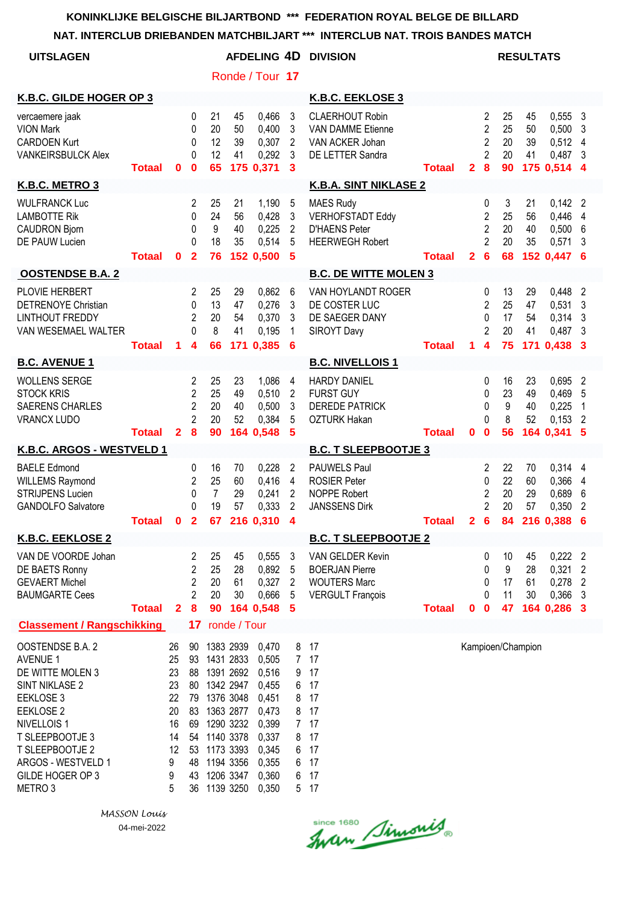#### **NAT. INTERCLUB DRIEBANDEN MATCHBILJART \*\*\* INTERCLUB NAT. TROIS BANDES MATCH**

| <b>UITSLAGEN</b>                                                                                                                                                                                                                |               |                                                                   |                                                                      |                                        |                                                                                                                                | <b>AFDELING 4D</b>                                                                                       |                                                                                    | <b>DIVISION</b>                                                                               |               |                |                                                                                          |                            | <b>RESULTATS</b>            |                                                   |                                                         |
|---------------------------------------------------------------------------------------------------------------------------------------------------------------------------------------------------------------------------------|---------------|-------------------------------------------------------------------|----------------------------------------------------------------------|----------------------------------------|--------------------------------------------------------------------------------------------------------------------------------|----------------------------------------------------------------------------------------------------------|------------------------------------------------------------------------------------|-----------------------------------------------------------------------------------------------|---------------|----------------|------------------------------------------------------------------------------------------|----------------------------|-----------------------------|---------------------------------------------------|---------------------------------------------------------|
|                                                                                                                                                                                                                                 |               |                                                                   |                                                                      |                                        |                                                                                                                                | Ronde / Tour 17                                                                                          |                                                                                    |                                                                                               |               |                |                                                                                          |                            |                             |                                                   |                                                         |
| K.B.C. GILDE HOGER OP 3                                                                                                                                                                                                         |               |                                                                   |                                                                      |                                        |                                                                                                                                |                                                                                                          |                                                                                    | K.B.C. EEKLOSE 3                                                                              |               |                |                                                                                          |                            |                             |                                                   |                                                         |
| vercaemere jaak<br><b>VION Mark</b><br><b>CARDOEN Kurt</b><br><b>VANKEIRSBULCK Alex</b>                                                                                                                                         | <b>Totaal</b> | $\bf{0}$                                                          | 0<br>0<br>0<br>0<br>$\bf{0}$                                         | 21<br>20<br>12<br>12<br>65             | 45<br>50<br>39<br>41                                                                                                           | 0,466<br>0,400<br>0,307<br>0,292<br>175 0,371                                                            | 3<br>3<br>2<br>3<br>3                                                              | <b>CLAERHOUT Robin</b><br><b>VAN DAMME Etienne</b><br>VAN ACKER Johan<br>DE LETTER Sandra     | Totaal        | $\overline{2}$ | $\overline{2}$<br>$\overline{2}$<br>$\overline{2}$<br>$\overline{2}$<br>$\boldsymbol{8}$ | 25<br>25<br>20<br>20<br>90 | 45<br>50<br>39<br>41        | 0,555<br>0,500<br>0,512<br>0,487<br>175 0,514     | 3<br>3<br>$\overline{4}$<br>$\mathbf{3}$<br>- 4         |
| K.B.C. METRO 3                                                                                                                                                                                                                  |               |                                                                   |                                                                      |                                        |                                                                                                                                |                                                                                                          |                                                                                    | <b>K.B.A. SINT NIKLASE 2</b>                                                                  |               |                |                                                                                          |                            |                             |                                                   |                                                         |
| <b>WULFRANCK Luc</b><br><b>LAMBOTTE Rik</b><br><b>CAUDRON Bjorn</b><br><b>DE PAUW Lucien</b>                                                                                                                                    | <b>Totaal</b> | $\bf{0}$                                                          | 2<br>0<br>0<br>0<br>$\mathbf{2}$                                     | 25<br>24<br>9<br>18<br>76              | 21<br>56<br>40<br>35                                                                                                           | 1,190<br>0,428<br>0,225<br>0,514<br>152 0,500                                                            | 5<br>3<br>$\overline{c}$<br>5<br>5                                                 | <b>MAES Rudy</b><br><b>VERHOFSTADT Eddy</b><br><b>D'HAENS Peter</b><br><b>HEERWEGH Robert</b> | <b>Totaal</b> | $\mathbf{2}$   | 0<br>$\overline{2}$<br>$\overline{2}$<br>$\overline{2}$<br>6                             | 3<br>25<br>20<br>20<br>68  | 21<br>56<br>40<br>35        | $0,142$ 2<br>0,446<br>0,500<br>0,571<br>152 0,447 | 4<br>6<br>3<br>-6                                       |
| <b>OOSTENDSE B.A. 2</b>                                                                                                                                                                                                         |               |                                                                   |                                                                      |                                        |                                                                                                                                |                                                                                                          |                                                                                    | <b>B.C. DE WITTE MOLEN 3</b>                                                                  |               |                |                                                                                          |                            |                             |                                                   |                                                         |
| PLOVIE HERBERT<br>DETRENOYE Christian<br><b>LINTHOUT FREDDY</b><br>VAN WESEMAEL WALTER                                                                                                                                          | <b>Totaal</b> | 1                                                                 | 2<br>0<br>$\overline{2}$<br>0<br>4                                   | 25<br>13<br>20<br>8<br>66              | 29<br>47<br>54<br>41                                                                                                           | 0,862<br>0,276<br>0,370<br>0,195<br>171 0,385                                                            | 6<br>3<br>3<br>1<br>6                                                              | VAN HOYLANDT ROGER<br>DE COSTER LUC<br>DE SAEGER DANY<br>SIROYT Davy                          | <b>Totaal</b> | 1.             | 0<br>$\overline{2}$<br>0<br>$\overline{2}$<br>4                                          | 13<br>25<br>17<br>20<br>75 | 29<br>47<br>54<br>41<br>171 | 0,448<br>0,531<br>0,314<br>0,487<br>0,438         | 2<br>3<br>3<br>3<br>3                                   |
| <b>B.C. AVENUE 1</b>                                                                                                                                                                                                            |               |                                                                   |                                                                      |                                        |                                                                                                                                |                                                                                                          |                                                                                    | <b>B.C. NIVELLOIS1</b>                                                                        |               |                |                                                                                          |                            |                             |                                                   |                                                         |
| <b>WOLLENS SERGE</b><br><b>STOCK KRIS</b><br><b>SAERENS CHARLES</b><br><b>VRANCX LUDO</b>                                                                                                                                       | <b>Totaal</b> | $\mathbf{2}$                                                      | 2<br>$\overline{2}$<br>$\overline{2}$<br>$\overline{2}$<br>8         | 25<br>25<br>20<br>20<br>90             | 23<br>49<br>40<br>52                                                                                                           | 1,086<br>0,510<br>0,500<br>0,384<br>164 0,548                                                            | 4<br>$\overline{c}$<br>3<br>5<br>5                                                 | <b>HARDY DANIEL</b><br><b>FURST GUY</b><br><b>DEREDE PATRICK</b><br><b>OZTURK Hakan</b>       | <b>Totaal</b> | $\mathbf 0$    | 0<br>0<br>0<br>0<br>$\bf{0}$                                                             | 16<br>23<br>9<br>8<br>56   | 23<br>49<br>40<br>52<br>164 | 0,695<br>0,469<br>0,225<br>0,153<br>0,341         | $\overline{2}$<br>5<br>1<br>$\overline{2}$<br>5         |
| K.B.C. ARGOS - WESTVELD 1                                                                                                                                                                                                       |               |                                                                   |                                                                      |                                        |                                                                                                                                |                                                                                                          |                                                                                    | <b>B.C. T SLEEPBOOTJE 3</b>                                                                   |               |                |                                                                                          |                            |                             |                                                   |                                                         |
| <b>BAELE Edmond</b><br><b>WILLEMS Raymond</b><br><b>STRIJPENS Lucien</b><br><b>GANDOLFO Salvatore</b>                                                                                                                           | <b>Totaal</b> | 0                                                                 | 0<br>2<br>0<br>$\Omega$<br>$\mathbf{2}$                              | 16<br>25<br>$\overline{7}$<br>19<br>67 | 70<br>60<br>29<br>57                                                                                                           | 0,228<br>0,416<br>0,241<br>0,333<br>216 0,310                                                            | 2<br>4<br>2<br>$\overline{2}$<br>4                                                 | <b>PAUWELS Paul</b><br><b>ROSIER Peter</b><br><b>NOPPE Robert</b><br><b>JANSSENS Dirk</b>     | <b>Totaal</b> | 2              | 2<br>0<br>2<br>$\overline{2}$<br>6                                                       | 22<br>22<br>20<br>20<br>84 | 70<br>60<br>29<br>57        | 0,314<br>0,366<br>0,689<br>0,350<br>216 0.388     | 4<br>4<br>6<br>2<br>6                                   |
| <b>K.B.C. EEKLOSE 2</b>                                                                                                                                                                                                         |               |                                                                   |                                                                      |                                        |                                                                                                                                |                                                                                                          |                                                                                    | <b>B.C. T SLEEPBOOTJE 2</b>                                                                   |               |                |                                                                                          |                            |                             |                                                   |                                                         |
| VAN DE VOORDE Johan<br>DE BAETS Ronny<br><b>GEVAERT Michel</b><br><b>BAUMGARTE Cees</b>                                                                                                                                         | <b>Totaal</b> | $\mathbf{2}$                                                      | 2<br>2<br>$\overline{c}$<br>$\overline{2}$<br>8                      | 25<br>25<br>20<br>20<br>90             | 45<br>28<br>61<br>30                                                                                                           | 0,555<br>0,892<br>0,327<br>0,666<br>164 0,548                                                            | 3<br>5<br>$\overline{2}$<br>5<br>5                                                 | VAN GELDER Kevin<br><b>BOERJAN Pierre</b><br><b>WOUTERS Marc</b><br><b>VERGULT François</b>   | <b>Totaal</b> | 0              | 0<br>0<br>0<br>0<br>$\mathbf 0$                                                          | 10<br>9<br>17<br>11<br>47  | 45<br>28<br>61<br>30        | 0,222<br>0,321<br>0,278<br>0,366<br>164 0,286 3   | $\overline{2}$<br>$\overline{2}$<br>$\overline{2}$<br>3 |
| <b>Classement / Rangschikking</b>                                                                                                                                                                                               |               |                                                                   | 17                                                                   |                                        | ronde / Tour                                                                                                                   |                                                                                                          |                                                                                    |                                                                                               |               |                |                                                                                          |                            |                             |                                                   |                                                         |
| OOSTENDSE B.A. 2<br><b>AVENUE 1</b><br>DE WITTE MOLEN 3<br><b>SINT NIKLASE 2</b><br>EEKLOSE 3<br>EEKLOSE 2<br>NIVELLOIS 1<br>T SLEEPBOOTJE 3<br>T SLEEPBOOTJE 2<br>ARGOS - WESTVELD 1<br>GILDE HOGER OP 3<br>METRO <sub>3</sub> |               | 26<br>25<br>23<br>23<br>22<br>20<br>16<br>14<br>12<br>9<br>9<br>5 | 90<br>93<br>88<br>80<br>79<br>83<br>69<br>54<br>53<br>48<br>43<br>36 | 1342 2947<br>1376 3048                 | 1383 2939<br>1431 2833<br>1391 2692<br>1363 2877<br>1290 3232<br>1140 3378<br>1173 3393<br>1194 3356<br>1206 3347<br>1139 3250 | 0,470<br>0,505<br>0,516<br>0,455<br>0,451<br>0,473<br>0,399<br>0,337<br>0,345<br>0,355<br>0,360<br>0,350 | 8<br>7 <sup>7</sup><br>9<br>6<br>8<br>8<br>7 <sup>1</sup><br>8<br>6<br>6<br>6<br>5 | 17<br>17<br>17<br>17<br>17<br>17<br>17<br>17<br>17<br>17<br>17<br>17                          |               |                |                                                                                          |                            | Kampioen/Champion           |                                                   |                                                         |

*MASSON Louis* 04-mei-2022

Since 1680 Simonis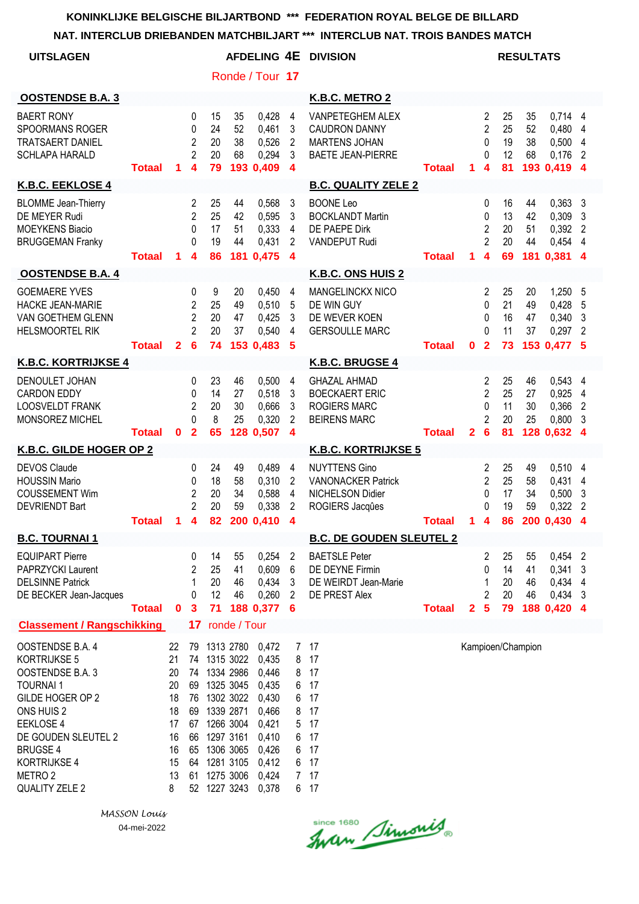**NAT. INTERCLUB DRIEBANDEN MATCHBILJART \*\*\* INTERCLUB NAT. TROIS BANDES MATCH**

| <b>UITSLAGEN</b>                                                                                                                                                                                                         |               |                                                                     |                                                                |                                                                                                                                   |                        |                                                                                                          |                                                                           | AFDELING 4E DIVISION                                                                                |               |              |                                                          |                            | <b>RESULTATS</b>     |                                                           |                                                       |
|--------------------------------------------------------------------------------------------------------------------------------------------------------------------------------------------------------------------------|---------------|---------------------------------------------------------------------|----------------------------------------------------------------|-----------------------------------------------------------------------------------------------------------------------------------|------------------------|----------------------------------------------------------------------------------------------------------|---------------------------------------------------------------------------|-----------------------------------------------------------------------------------------------------|---------------|--------------|----------------------------------------------------------|----------------------------|----------------------|-----------------------------------------------------------|-------------------------------------------------------|
|                                                                                                                                                                                                                          |               |                                                                     |                                                                |                                                                                                                                   |                        | Ronde / Tour 17                                                                                          |                                                                           |                                                                                                     |               |              |                                                          |                            |                      |                                                           |                                                       |
| <b>OOSTENDSE B.A. 3</b>                                                                                                                                                                                                  |               |                                                                     |                                                                |                                                                                                                                   |                        |                                                                                                          |                                                                           | K.B.C. METRO 2                                                                                      |               |              |                                                          |                            |                      |                                                           |                                                       |
| <b>BAERT RONY</b><br><b>SPOORMANS ROGER</b><br><b>TRATSAERT DANIEL</b><br><b>SCHLAPA HARALD</b>                                                                                                                          | <b>Totaal</b> | 1.                                                                  | 0<br>0<br>$\overline{2}$<br>$\overline{c}$<br>4                | 15<br>24<br>20<br>20<br>79                                                                                                        | 35<br>52<br>38<br>68   | 0,428<br>0,461<br>0,526<br>0,294<br>193 0,409                                                            | 4<br>3<br>2<br>3<br>4                                                     | <b>VANPETEGHEM ALEX</b><br><b>CAUDRON DANNY</b><br><b>MARTENS JOHAN</b><br><b>BAETE JEAN-PIERRE</b> | <b>Totaal</b> | 1.           | 2<br>$\overline{c}$<br>0<br>0<br>4                       | 25<br>25<br>19<br>12<br>81 | 35<br>52<br>38<br>68 | 0,714 4<br>0,480<br>0,500<br>0,176<br>193 0,419           | 4<br>4<br>2<br>$\boldsymbol{4}$                       |
| K.B.C. EEKLOSE 4                                                                                                                                                                                                         |               |                                                                     |                                                                |                                                                                                                                   |                        |                                                                                                          |                                                                           | <b>B.C. QUALITY ZELE 2</b>                                                                          |               |              |                                                          |                            |                      |                                                           |                                                       |
| <b>BLOMME</b> Jean-Thierry<br>DE MEYER Rudi<br><b>MOEYKENS Biacio</b><br><b>BRUGGEMAN Franky</b>                                                                                                                         | <b>Totaal</b> | 1.                                                                  | $\overline{2}$<br>$\overline{2}$<br>0<br>0<br>4                | 25<br>25<br>17<br>19<br>86                                                                                                        | 44<br>42<br>51<br>44   | 0,568<br>0,595<br>0,333<br>0,431<br>181 0,475                                                            | 3<br>3<br>4<br>2<br>$\boldsymbol{4}$                                      | <b>BOONE Leo</b><br><b>BOCKLANDT Martin</b><br>DE PAEPE Dirk<br><b>VANDEPUT Rudi</b>                | <b>Totaal</b> | 1.           | 0<br>0<br>2<br>$\overline{2}$<br>4                       | 16<br>13<br>20<br>20<br>69 | 44<br>42<br>51<br>44 | 0,363<br>0,309<br>0,392<br>0,454<br>181 0,381 4           | $\mathbf{3}$<br>3<br>$\overline{2}$<br>$\overline{4}$ |
| <b>OOSTENDSE B.A. 4</b>                                                                                                                                                                                                  |               |                                                                     |                                                                |                                                                                                                                   |                        |                                                                                                          |                                                                           | <b>K.B.C. ONS HUIS 2</b>                                                                            |               |              |                                                          |                            |                      |                                                           |                                                       |
| <b>GOEMAERE YVES</b><br><b>HACKE JEAN-MARIE</b><br><b>VAN GOETHEM GLENN</b><br><b>HELSMOORTEL RIK</b>                                                                                                                    | <b>Totaal</b> | $\mathbf{2}$                                                        | 0<br>2<br>$\overline{2}$<br>$\overline{2}$<br>6                | 9<br>25<br>20<br>20<br>74                                                                                                         | 20<br>49<br>47<br>37   | 0,450<br>0,510<br>0,425<br>0,540<br>153 0,483                                                            | 4<br>5<br>3<br>4<br>5                                                     | <b>MANGELINCKX NICO</b><br>DE WIN GUY<br>DE WEVER KOEN<br><b>GERSOULLE MARC</b>                     | <b>Totaal</b> | 0            | 2<br>0<br>0<br>0<br>$\overline{2}$                       | 25<br>21<br>16<br>11<br>73 | 20<br>49<br>47<br>37 | 1,250<br>0,428<br>0,340<br>0,297<br>153 0,477 5           | 5<br>5<br>3<br>2                                      |
| <b>K.B.C. KORTRIJKSE 4</b>                                                                                                                                                                                               |               |                                                                     |                                                                |                                                                                                                                   |                        |                                                                                                          |                                                                           | K.B.C. BRUGSE 4                                                                                     |               |              |                                                          |                            |                      |                                                           |                                                       |
| DENOULET JOHAN<br><b>CARDON EDDY</b><br><b>LOOSVELDT FRANK</b><br>MONSOREZ MICHEL                                                                                                                                        | Totaal        | $\mathbf 0$                                                         | 0<br>0<br>$\overline{2}$<br>0<br>$\mathbf{2}$                  | 23<br>14<br>20<br>8<br>65                                                                                                         | 46<br>27<br>30<br>25   | 0,500<br>0,518<br>0,666<br>0,320<br>128 0,507                                                            | 4<br>3<br>3<br>2<br>$\overline{\mathbf{4}}$                               | <b>GHAZAL AHMAD</b><br><b>BOECKAERT ERIC</b><br><b>ROGIERS MARC</b><br><b>BEIRENS MARC</b>          | <b>Totaal</b> | $\mathbf{2}$ | 2<br>$\overline{2}$<br>$\Omega$<br>2<br>6                | 25<br>25<br>11<br>20<br>81 | 46<br>27<br>30<br>25 | $0,543$ 4<br>0,925<br>0,366<br>0,800<br>128 0,632         | 4<br>$\overline{2}$<br>3<br>4                         |
| K.B.C. GILDE HOGER OP 2                                                                                                                                                                                                  |               |                                                                     |                                                                |                                                                                                                                   |                        |                                                                                                          |                                                                           | <b>K.B.C. KORTRIJKSE 5</b>                                                                          |               |              |                                                          |                            |                      |                                                           |                                                       |
| <b>DEVOS Claude</b><br><b>HOUSSIN Mario</b><br><b>COUSSEMENT Wim</b><br><b>DEVRIENDT Bart</b>                                                                                                                            | <b>Totaal</b> | 1                                                                   | 0<br>0<br>2<br>$\overline{2}$<br>4                             | 24<br>18<br>20<br>20<br>82                                                                                                        | 49<br>58<br>34<br>59   | 0.489<br>0,310<br>0,588<br>0,338<br>200 0,410                                                            | $\overline{4}$<br>$\overline{2}$<br>$\overline{4}$<br>$\overline{2}$<br>4 | <b>NUYTTENS Gino</b><br><b>VANONACKER Patrick</b><br><b>NICHELSON Didier</b><br>ROGIERS Jacques     | <b>Totaal</b> | 1            | 2<br>$\overline{2}$<br>0<br>0<br>$\overline{\mathbf{4}}$ | 25<br>25<br>17<br>19<br>86 | 49<br>58<br>34<br>59 | 0,510<br>0,431<br>0,500<br>0,322<br>200 0.430             | 4<br>4<br>3<br>$\overline{2}$<br>$\boldsymbol{4}$     |
| <b>B.C. TOURNAI 1</b>                                                                                                                                                                                                    |               |                                                                     |                                                                |                                                                                                                                   |                        |                                                                                                          |                                                                           | <b>B.C. DE GOUDEN SLEUTEL 2</b>                                                                     |               |              |                                                          |                            |                      |                                                           |                                                       |
| <b>EQUIPART Pierre</b><br>PAPRZYCKI Laurent<br><b>DELSINNE Patrick</b><br>DE BECKER Jean-Jacques                                                                                                                         | <b>Totaal</b> | $\bf{0}$                                                            | 0<br>2<br>1<br>0<br>$\mathbf{3}$                               | 14<br>25<br>20<br>12<br>71                                                                                                        | 55<br>41<br>46<br>46   | 0,254<br>0,609<br>0,434<br>0,260<br>188 0,377                                                            | $\overline{2}$<br>6<br>3<br>2<br>6                                        | <b>BAETSLE Peter</b><br>DE DEYNE Firmin<br>DE WEIRDT Jean-Marie<br>DE PREST Alex                    | <b>Totaal</b> | $\mathbf{2}$ | 2<br>0<br>1<br>$\overline{2}$<br>$5\phantom{1}$          | 25<br>14<br>20<br>20<br>79 | 55<br>41<br>46<br>46 | 0,454<br>$0,341$ 3<br>0,434 4<br>$0,434$ 3<br>188 0,420 4 | $\overline{2}$                                        |
| <b>Classement / Rangschikking</b>                                                                                                                                                                                        |               |                                                                     | 17 <sub>2</sub>                                                |                                                                                                                                   | ronde / Tour           |                                                                                                          |                                                                           |                                                                                                     |               |              |                                                          |                            |                      |                                                           |                                                       |
| OOSTENDSE B.A. 4<br>KORTRIJKSE 5<br>OOSTENDSE B.A. 3<br><b>TOURNAI1</b><br>GILDE HOGER OP 2<br>ONS HUIS 2<br>EEKLOSE 4<br>DE GOUDEN SLEUTEL 2<br><b>BRUGSE 4</b><br>KORTRIJKSE 4<br>METRO <sub>2</sub><br>QUALITY ZELE 2 |               | 22<br>21<br>20<br>20<br>18<br>18<br>17<br>16<br>16<br>15<br>13<br>8 | 79<br>74<br>74<br>69<br>76<br>69<br>67<br>66<br>65<br>64<br>61 | 1313 2780<br>1315 3022<br>1334 2986<br>1325 3045<br>1302 3022<br>1266 3004<br>1297 3161<br>1281 3105<br>1275 3006<br>52 1227 3243 | 1339 2871<br>1306 3065 | 0,472<br>0,435<br>0,446<br>0,435<br>0,430<br>0,466<br>0,421<br>0,410<br>0,426<br>0,412<br>0,424<br>0,378 | 7<br>8<br>8<br>6<br>6<br>8<br>5<br>6<br>6<br>6<br>$7^{\circ}$             | 17<br>17<br>17<br>17<br>17<br>17<br>17<br>17<br>17<br>17<br>17<br>6 17                              |               |              |                                                          |                            | Kampioen/Champion    |                                                           |                                                       |

Since 1680 Simonis